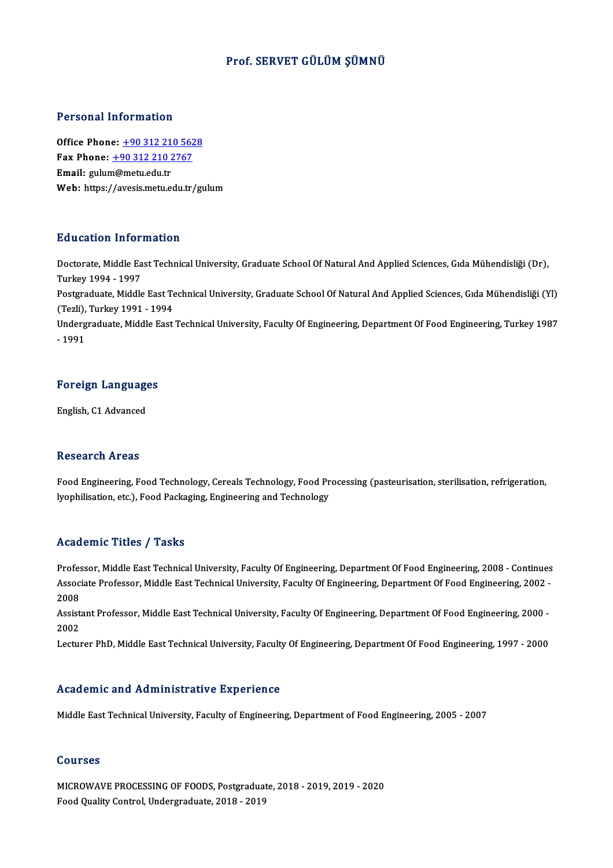### Prof. SERVET GÜLÜM ŞÜMNÜ

### Personal Information

Office Phone: +90 312 210 5628 office Phone: <u>+90 312 210 562</u><br>Fax Phone: <u>+90 312 210 2767</u><br>Fmail: mylum@matu.edu.tr Office Phone: <u>+90 312 21</u><br>Fax Phone: <u>+90 312 210 2</u><br>Email: gulu[m@metu.edu.tr](tel:+90 312 210 2767) Email: gulum@metu.edu.tr<br>Web: https://avesis.metu.edu.tr/gulum

### Education Information

**Education Information**<br>Doctorate, Middle East Technical University, Graduate School Of Natural And Applied Sciences, Gıda Mühendisliği (Dr),<br>Turkey 1994, 1997 nd decessed and on<br>Doctorate, Middle Ea<br>Turkey 1994 - 1997<br>Bostanaduate, Middle Doctorate, Middle East Technical University, Graduate School Of Natural And Applied Sciences, Gıda Mühendisliği (Dr),<br>Turkey 1994 - 1997<br>Postgraduate, Middle East Technical University, Graduate School Of Natural And Applie Turkey 1994 - 1997<br>Postgraduate, Middle East Te<br>(Tezli), Turkey 1991 - 1994<br>Undergraduate, Middle East Postgraduate, Middle East Technical University, Graduate School Of Natural And Applied Sciences, Gıda Mühendisliği (Yl)<br>(Tezli), Turkey 1991 - 1994<br>Undergraduate, Middle East Technical University, Faculty Of Engineering, D (Tezli), Turkey 1991 - 1994<br>Undergraduate, Middle East Technical University, Faculty Of Engineering, Department Of Food Engineering, Turkey 1987<br>- 1991

# - 1991<br>Foreign Languages <mark>Foreign Languag</mark><br>English, C1 Advanced

English, C1 Advanced<br>Research Areas

Research Areas<br>Food Engineering, Food Technology, Cereals Technology, Food Processing (pasteurisation, sterilisation, refrigeration,<br>kophilisation, etc.), Eeed Beckesing, Ensineering and Technology. resear en 11 eas<br>Food Engineering, Food Technology, Cereals Technology, Food Pr<br>lyophilisation, etc.), Food Packaging, Engineering and Technology lyophilisation, etc.), Food Packaging, Engineering and Technology<br>Academic Titles / Tasks

Academic Titles / Tasks<br>Professor, Middle East Technical University, Faculty Of Engineering, Department Of Food Engineering, 2008 - Continues<br>Assesiste Professor, Middle Fost Technical University, Faculty Of Engineering, D AssociateMic Traces / Tassis<br>Professor, Middle East Technical University, Faculty Of Engineering, Department Of Food Engineering, 2008 - Continues<br>Associate Professor, Middle East Technical University, Faculty Of Engineeri Profes<br>Assoc<br>2008<br>Assist Associate Professor, Middle East Technical University, Faculty Of Engineering, Department Of Food Engineering, 2002 -<br>2008<br>Assistant Professor, Middle East Technical University, Faculty Of Engineering, Department Of Food E

2008<br>Assist<br>2002<br>Lectur Assistant Professor, Middle East Technical University, Faculty Of Engineering, Department Of Food Engineering, 2000 -<br>2002<br>Lecturer PhD, Middle East Technical University, Faculty Of Engineering, Department Of Food Engineer

Lecturer PhD, Middle East Technical University, Faculty Of Engineering, Department Of Food Engineering, 1997 - 2000<br>Academic and Administrative Experience

Middle East Technical University, Faculty of Engineering, Department of Food Engineering, 2005 - 2007

### Courses

MICROWAVEPROCESSINGOF FOODS,Postgraduate,2018 -2019,2019 -2020 FoodQualityControl,Undergraduate,2018 -2019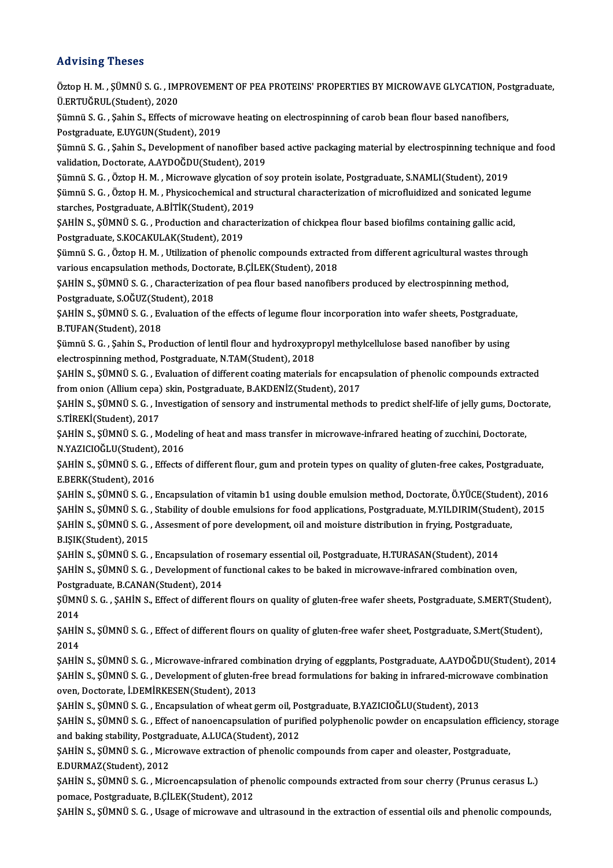Advising Theses Öztop H. M. , SÜMNÜ S. G. , IMPROVEMENT OF PEA PROTEINS' PROPERTIES BY MICROWAVE GLYCATION, Postgraduate, Ü.ERTUĞRUL(Student),2020 Öztop H. M. , ŞÜMNÜ S. G. , IMPROVEMENT OF PEA PROTEINS' PROPERTIES BY MICROWAVE GLYCATION, Po:<br>Ü.ERTUĞRUL(Student), 2020<br>Şümnü S. G. , Şahin S., Effects of microwave heating on electrospinning of carob bean flour based na Ü.ERTUĞRUL(Student), 2020<br>Şümnü S. G. , Şahin S., Effects of microwa<br>Postgraduate, E.UYGUN(Student), 2019<br>Sümnü S. G., Sahin S. Davalanmant of n Şümnü S. G. , Şahin S., Effects of microwave heating on electrospinning of carob bean flour based nanofibers,<br>Postgraduate, E.UYGUN(Student), 2019<br>Şümnü S. G. , Şahin S., Development of nanofiber based active packaging mat Postgraduate, E.UYGUN(Student), 2019<br>Şümnü S. G. , Şahin S., Development of nanofiber based active packaging material by electrospinning technique and food<br>validation, Doctorate, A.AYDOĞDU(Student), 2019 Şümnü S. G. , Şahin S., Development of nanofiber based active packaging material by electrospinning techniqu<br>validation, Doctorate, A.AYDOĞDU(Student), 2019<br>Şümnü S. G. , Öztop H. M. , Microwave glycation of soy protein is validation, Doctorate, A.AYDOĞDU(Student), 2019<br>Şümnü S. G. , Öztop H. M. , Microwave glycation of soy protein isolate, Postgraduate, S.NAMLI(Student), 2019<br>Şümnü S. G. , Öztop H. M. , Physicochemical and structural charac Sümnü S. G. , Öztop H. M. , Microwave glycation c<br>Sümnü S. G. , Öztop H. M. , Physicochemical and s<br>starches, Postgraduate, A.BİTİK(Student), 2019<br>SAHİN S. SÜMNÜ S. G., Preduction and shanata Şümnü S. G. , Öztop H. M. , Physicochemical and structural characterization of microfluidized and sonicated legume<br>starches, Postgraduate, A.BİTİK(Student), 2019<br>ŞAHİN S., ŞÜMNÜ S. G. , Production and characterization of c starches, Postgraduate, A.BİTİK(Student), 2019 ŞAHİN S., ŞÜMNÜ S. G. , Production and characterization of chickpea flour based biofilms containing gallic acid,<br>Postgraduate, S.KOCAKULAK(Student), 2019<br>Şümnü S. G. , Öztop H. M. , Utilization of phenolic compounds extrac Postgraduate, S.KOCAKULAK(Student), 2019<br>Şümnü S. G. , Öztop H. M. , Utilization of phenolic compounds extracte<br>various encapsulation methods, Doctorate, B.ÇİLEK(Student), 2018<br>SAHİN S. SÜMNÜ S. G., Characterization of nea Şümnü S. G. , Öztop H. M. , Utilization of phenolic compounds extracted from different agricultural wastes thro<br>various encapsulation methods, Doctorate, B.ÇİLEK(Student), 2018<br>ŞAHİN S., ŞÜMNÜ S. G. , Characterization of p various encapsulation methods, Docto<br>ŞAHİN S., ŞÜMNÜ S. G. , Characterizatio<br>Postgraduate, S.OĞUZ(Student), 2018<br>SAHİN S. SÜMNÜ S. G., Evpluation of tl ŞAHİN S., ŞÜMNÜ S. G. , Characterization of pea flour based nanofibers produced by electrospinning method,<br>Postgraduate, S.OĞUZ(Student), 2018<br>ŞAHİN S., ŞÜMNÜ S. G. , Evaluation of the effects of legume flour incorporation Postgraduate, S.OĞUZ(Stu<br>ŞAHİN S., ŞÜMNÜ S. G. , Ev<br>B.TUFAN(Student), 2018<br>Sümnü S. G. , Sahin S. Bro ŞAHİN S., ŞÜMNÜ S. G. , Evaluation of the effects of legume flour incorporation into wafer sheets, Postgraduat<br>B.TUFAN(Student), 2018<br>Şümnü S. G. , Şahin S., Production of lentil flour and hydroxypropyl methylcellulose bas B.TUFAN(Student), 2018<br>Şümnü S. G. , Şahin S., Production of lentil flour and hydroxypr<br>electrospinning method, Postgraduate, N.TAM(Student), 2018<br>SAHİN S. SÜMNÜ S. G., Evaluation of different seating material Şümnü S. G. , Şahin S., Production of lentil flour and hydroxypropyl methylcellulose based nanofiber by using<br>electrospinning method, Postgraduate, N.TAM(Student), 2018<br>ŞAHİN S., ŞÜMNÜ S. G. , Evaluation of different coati electrospinning method, Postgraduate, N.TAM(Student), 2018<br>ŞAHİN S., ŞÜMNÜ S. G. , Evaluation of different coating materials for encap<br>from onion (Allium cepa) skin, Postgraduate, B.AKDENİZ(Student), 2017<br>SAHİN S. SÜMNÜ S. \$AHİN S., ŞÜMNÜ S. G. , Evaluation of different coating materials for encapsulation of phenolic compounds extracted<br>from onion (Allium cepa) skin, Postgraduate, B.AKDENİZ(Student), 2017<br>\$AHİN S., ŞÜMNÜ S. G. , Investigatio from onion (Allium cepa)<br>ŞAHİN S., ŞÜMNÜ S. G. , In<br>S.TİREKİ(Student), 2017<br>SAHİN S. SÜMNÜ S. G. M ŞAHİN S., ŞÜMNÜ S. G. , Investigation of sensory and instrumental methods to predict shelf-life of jelly gums, Doct<br>S.TİREKİ(Student), 2017<br>ŞAHİN S., ŞÜMNÜ S. G. , Modeling of heat and mass transfer in microwave-infrared h S.TİREKİ(Student), 2017<br>ŞAHİN S., ŞÜMNÜ S. G. , Modelin<br>N.YAZICIOĞLU(Student), 2016<br>SAHİN S. SÜMNÜ S. G., Effecta ŞAHİN S., ŞÜMNÜ S. G. , Modeling of heat and mass transfer in microwave-infrared heating of zucchini, Doctorate,<br>N.YAZICIOĞLU(Student), 2016<br>ŞAHİN S., ŞÜMNÜ S. G. , Effects of different flour, gum and protein types on qual N.YAZICIOĞLU(Student), 2016<br>ŞAHİN S., ŞÜMNÜ S. G. , Effects of different flour, gum and protein types on quality of gluten-free cakes, Postgraduate,<br>E.BERK(Student), 2016 ŞAHİN S., ŞÜMNÜ S. G. , Effects of different flour, gum and protein types on quality of gluten-free cakes, Postgraduate,<br>E.BERK(Student), 2016<br>ŞAHİN S., ŞÜMNÜ S. G. , Encapsulation of vitamin b1 using double emulsion metho E.BERK(Student), 2016<br>ŞAHİN S., ŞÜMNÜ S. G. , Encapsulation of vitamin b1 using double emulsion method, Doctorate, Ö.YÜCE(Student), 2016<br>ŞAHİN S., ŞÜMNÜ S. G. , Stability of double emulsions for food applications, Postgrad ŞAHİN S., ŞÜMNÜ S. G. , Encapsulation of vitamin b1 using double emulsion method, Doctorate, Ö.YÜCE(Studen<br>ŞAHİN S., ŞÜMNÜ S. G. , Stability of double emulsions for food applications, Postgraduate, M.YILDIRIM(Student<br>ŞAHİN ŞAHİN S., ŞÜMNÜ S. G. ,<br>ŞAHİN S., ŞÜMNÜ S. G. ,<br>B.IŞIK(Student), 2015<br>SAHİN S. SÜMNÜ S. G ŞAHİN S., ŞÜMNÜ S. G. , Assesment of pore development, oil and moisture distribution in frying, Postgradua<br>B.IŞIK(Student), 2015<br>ŞAHİN S., ŞÜMNÜ S. G. , Encapsulation of rosemary essential oil, Postgraduate, H.TURASAN(Stud B.IŞIK(Student), 2015<br>ŞAHİN S., ŞÜMNÜ S. G. , Encapsulation of rosemary essential oil, Postgraduate, H.TURASAN(Student), 2014<br>SAHİN S., SÜMNÜ S. G. , Development of functional cakes to be baked in microwave-infrared combin SAHIN S., SÜMNÜ S. G., Encapsulation of rosemary essential oil, Postgraduate, H.TURASAN(Student), 2014 ŞAHİN S., ŞÜMNÜ S. G. , Development of functional cakes to be baked in microwave-infrared combination oven,<br>Postgraduate, B.CANAN(Student), 2014<br>ŞÜMNÜ S. G. , ŞAHİN S., Effect of different flours on quality of gluten-free Postgraduate, B.CANAN(Student), 2014<br>
ŞÜMNÜ S. G. , ŞAHİN S., Effect of differer<br>
2014 ŞÜMNÜ S. G. , ŞAHİN S., Effect of different flours on quality of gluten-free wafer sheets, Postgraduate, S.MERT(Student<br>2014<br>ŞAHİN S., ŞÜMNÜ S. G. , Effect of different flours on quality of gluten-free wafer sheet, Postgra ŞAHİN S., ŞÜMNÜ S. G. , Effect of different flours on quality of gluten-free wafer sheet, Postgraduate, S.Mert(Student),<br>2014 ŞAHİN S., ŞÜMNÜ S. G. , Effect of different flours on quality of gluten-free wafer sheet, Postgraduate, S.Mert(Student),<br>2014<br>ŞAHİN S., ŞÜMNÜ S. G. , Microwave-infrared combination drying of eggplants, Postgraduate, A.AYDO 2014<br>ŞAHİN S., ŞÜMNÜ S. G. , Microwave-infrared combination drying of eggplants, Postgraduate, A.AYDOĞDU(Student), 201<br>ŞAHİN S., ŞÜMNÜ S. G. , Development of gluten-free bread formulations for baking in infrared-microwave SAHİN S., ŞÜMNÜ S. G. , Microwave-infrared com<br>SAHİN S., ŞÜMNÜ S. G. , Development of gluten-fr<br>oven, Doctorate, İ.DEMİRKESEN(Student), 2013<br>SAHİN S. SÜMNÜ S. G., Engeneulation of urbest g ŞAHİN S., ŞÜMNÜ S. G. , Development of gluten-free bread formulations for baking in infrared-microwave combination<br>oven, Doctorate, İ.DEMİRKESEN(Student), 2013 ŞAHİN S., ŞÜMNÜ S. G. , Effect of nanoencapsulation of purified polyphenolic powder on encapsulation efficiency, storage<br>and baking stability, Postgraduate, A.LUCA(Student), 2012 \$AHIN S., \$ÜMNÜ S. G., Encapsulation of wheat germ oil, Postgraduate, B.YAZICIOGLU(Student), 2013 ŞAHİN S., ŞÜMNÜ S. G. , Effect of nanoencapsulation of purified polyphenolic powder on encapsulation efficier<br>and baking stability, Postgraduate, A.LUCA(Student), 2012<br>ŞAHİN S., ŞÜMNÜ S. G. , Microwave extraction of phenol and baking stability, Postgra<br>ŞAHİN S., ŞÜMNÜ S. G. , Micr<br>E.DURMAZ(Student), 2012<br>SAHİN S. SÜMNÜ S. G. Micr ŞAHİN S., ŞÜMNÜ S. G. , Microwave extraction of phenolic compounds from caper and oleaster, Postgraduate,<br>E.DURMAZ(Student), 2012<br>ŞAHİN S., ŞÜMNÜ S. G. , Microencapsulation of phenolic compounds extracted from sour cherry

E.DURMAZ(Student), 2012<br>ŞAHİN S., ŞÜMNÜ S. G. , Microencapsulation of phenolic compounds extracted from sour cherry (Prunus cerasus L.)<br>pomace, Postgraduate, B.ÇİLEK(Student), 2012

ŞAHİNS.,ŞÜMNÜS.G. ,Usage ofmicrowave and ultrasound inthe extractionof essentialoils and phenolic compounds,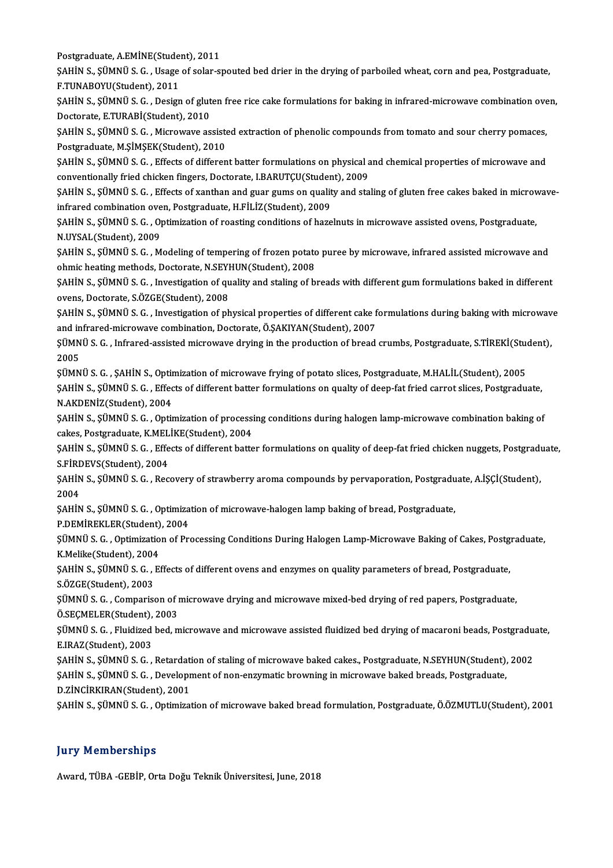Postgraduate,A.EMİNE(Student),2011

Postgraduate, A.EMİNE(Student), 2011<br>ŞAHİN S., ŞÜMNÜ S. G. , Usage of solar-spouted bed drier in the drying of parboiled wheat, corn and pea, Postgraduate,<br>E.TUNAPOYU(Student), 2011 Postgraduate, A.EMİNE(Stude<br>ŞAHİN S., ŞÜMNÜ S. G. , Usage<br>F.TUNABOYU(Student), 2011<br>SAHİN S. SÜMNÜ S. G. , Design ŞAHİN S., ŞÜMNÜ S. G. , Usage of solar-spouted bed drier in the drying of parboiled wheat, corn and pea, Postgraduate,<br>F.TUNABOYU(Student), 2011<br>ŞAHİN S., ŞÜMNÜ S. G. , Design of gluten free rice cake formulations for baki

F.TUNABOYU(Student), 2011<br>ŞAHİN S., ŞÜMNÜ S. G. , Design of glut<br>Doctorate, E.TURABİ(Student), 2010<br>SAHİN S. SÜMNÜ S. G., Misrovaya as ŞAHİN S., ŞÜMNÜ S. G. , Design of gluten free rice cake formulations for baking in infrared-microwave combination ove<br>Doctorate, E.TURABİ(Student), 2010<br>ŞAHİN S., ŞÜMNÜ S. G. , Microwave assisted extraction of phenolic com

Doctorate, E.TURABİ(Student), 2010<br>ŞAHİN S., ŞÜMNÜ S. G. , Microwave assiste<br>Postgraduate, M.ŞİMŞEK(Student), 2010<br>SAHİN S. SÜMNÜ S. G., Effects of differen ŞAHİN S., ŞÜMNÜ S. G. , Microwave assisted extraction of phenolic compounds from tomato and sour cherry pomaces,<br>Postgraduate, M.ŞİMŞEK(Student), 2010<br>ŞAHİN S., ŞÜMNÜ S. G. , Effects of different batter formulations on phy

Postgraduate, M.ŞİMŞEK(Student), 2010<br>ŞAHİN S., ŞÜMNÜ S. G. , Effects of different batter formulations on physical and chemical properties of microwave and<br>conventionally fried chicken fingers, Doctorate, I.BARUTCU(Student SAHİN S., ŞÜMNÜ S. G. , Effects of different batter formulations on physical and chemical properties of microwave and<br>conventionally fried chicken fingers, Doctorate, I.BARUTÇU(Student), 2009<br>SAHİN S., ŞÜMNÜ S. G. , Effect

conventionally fried chicken fingers, Doctorate, I.BARUTÇU(Studen<br>ŞAHİN S., ŞÜMNÜ S. G. , Effects of xanthan and guar gums on qualit<br>infrared combination oven, Postgraduate, H.FİLİZ(Student), 2009<br>SAHİN S. SİİMNÜ S. G., Op ŞAHİN S., ŞÜMNÜ S. G. , Effects of xanthan and guar gums on quality and staling of gluten free cakes baked in microv<br>infrared combination oven, Postgraduate, H.FİLİZ(Student), 2009<br>ŞAHİN S., ŞÜMNÜ S. G. , Optimization of r

infrared combination oven, Postgraduate, H.FİLİZ(Student), 2009<br>ŞAHİN S., ŞÜMNÜ S. G. , Optimization of roasting conditions of hazelnuts in microwave assisted ovens, Postgraduate,<br>N.UYSAL(Student), 2009 ŞAHİN S., ŞÜMNÜ S. G. , Optimization of roasting conditions of hazelnuts in microwave assisted ovens, Postgraduate,<br>N.UYSAL(Student), 2009<br>ŞAHİN S., ŞÜMNÜ S. G. , Modeling of tempering of frozen potato puree by microwave,

N.UYSAL(Student), 2009<br>ŞAHİN S., ŞÜMNÜ S. G. , Modeling of tempering of frozen potato<br>ohmic heating methods, Doctorate, N.SEYHUN(Student), 2008<br>SAHİN S. SÜMNÜ S. G. , Investigation of quelity and staling of h ŞAHİN S., ŞÜMNÜ S. G. , Modeling of tempering of frozen potato puree by microwave, infrared assisted microwave and<br>ohmic heating methods, Doctorate, N.SEYHUN(Student), 2008<br>ŞAHİN S., ŞÜMNÜ S. G. , Investigation of quality

ohmic heating methods, Doctorate, N.SEY<br>ŞAHİN S., ŞÜMNÜ S. G. , Investigation of qu<br>ovens, Doctorate, S.ÖZGE(Student), 2008<br>SAHİN S. SÜMNÜ S. G. , Investigation of nh ŞAHİN S., ŞÜMNÜ S. G. , Investigation of quality and staling of breads with different gum formulations baked in different<br>ovens, Doctorate, S.ÖZGE(Student), 2008<br>ŞAHİN S., ŞÜMNÜ S. G. , Investigation of physical properties

ovens, Doctorate, S.ÖZGE(Student), 2008<br>ŞAHİN S., ŞÜMNÜ S. G. , Investigation of physical properties of different cake formulations during baking with microwave<br>and infrared-microwave combination, Doctorate, Ö.ŞAKIYAN(Stud ŞAHİN S., ŞÜMNÜ S. G. , Investigation of physical properties of different cake formulations during baking with microwav<br>and infrared-microwave combination, Doctorate, Ö.ŞAKIYAN(Student), 2007<br>ŞÜMNÜ S. G. , Infrared-assiste

and in<br>ŞÜMN<br>2005<br>sümn ŞÜMNÜ S. G. , Infrared-assisted microwave drying in the production of bread crumbs, Postgraduate, S.TİREKİ(Stu<br>2005<br>ŞÜMNÜ S. G. , ŞAHİN S., Optimization of microwave frying of potato slices, Postgraduate, M.HALİL(Student),

2005<br>ŞÜMNÜ S. G. , ŞAHİN S., Optimization of microwave frying of potato slices, Postgraduate, M.HALİL(Student), 2005<br>ŞAHİN S., ŞÜMNÜ S. G. , Effects of different batter formulations on qualty of deep-fat fried carrot slice ŞÜMNÜ S. G. , ŞAHİN S., Optir<br>ŞAHİN S., ŞÜMNÜ S. G. , Effec<br>N.AKDENİZ(Student), 2004<br>SAHİN S. SÜMNÜ S. G., Optir ŞAHİN S., ŞÜMNÜ S. G. , Effects of different batter formulations on qualty of deep-fat fried carrot slices, Postgraduate,<br>N.AKDENİZ(Student), 2004<br>ŞAHİN S., ŞÜMNÜ S. G. , Optimization of processing conditions during haloge

N.AKDENİZ(Student), 2004<br>ŞAHİN S., ŞÜMNÜ S. G. , Optimization of processing conditions during halogen lamp-microwave combination baking of cakes, Postgraduate, K.MELİKE(Student), 2004

ŞAHİN S., ŞÜMNÜ S. G. , Effects of different batter formulations on quality of deep-fat fried chicken nuggets, Postgraduate,<br>S.FİRDEVS(Student), 2004 ŞAHİN S., ŞÜMNÜ S. G. , Effects of different batter formulations on quality of deep-fat fried chicken nuggets, Postgradı<br>S.FİRDEVS(Student), 2004<br>ŞAHİN S., ŞÜMNÜ S. G. , Recovery of strawberry aroma compounds by pervaporat

S.FIR<mark><br>ŞAHİN</mark><br>2004<br>SAHİN ŞAHİN S., ŞÜMNÜ S. G. , Recovery of strawberry aroma compounds by pervaporation, Postgradu<br>2004<br>ŞAHİN S., ŞÜMNÜ S. G. , Optimization of microwave-halogen lamp baking of bread, Postgraduate,<br>P.DEMİREKLER(Student), 2004

2004<br>ŞAHİN S., ŞÜMNÜ S. G. , Optimization of microwave-halogen lamp baking of bread, Postgraduate,<br>P.DEMİREKLER(Student), 2004

ŞAHİN S., ŞÜMNÜ S. G. , Optimization of microwave-halogen lamp baking of bread, Postgraduate,<br>P.DEMİREKLER(Student), 2004<br>ŞÜMNÜ S. G. , Optimization of Processing Conditions During Halogen Lamp-Microwave Baking of Cakes, P P.DEMİREKLER(Student)<br>ŞÜMNÜ S. G. , Optimizatio<br>K.Melike(Student), 2004<br>SAHİN S. SÜMNÜ S. G. ES ŞÜMNÜ S. G. , Optimization of Processing Conditions During Halogen Lamp-Microwave Baking of Cakes, Postg<br>K.Melike(Student), 2004<br>ŞAHİN S., ŞÜMNÜ S. G. , Effects of different ovens and enzymes on quality parameters of bread

K.Melike(Student), 2004<br>ŞAHİN S., ŞÜMNÜ S. G. , 1<br>S.ÖZGE(Student), 2003<br>SÜMNÜ S. G. , Gemnaris ŞAHİN S., ŞÜMNÜ S. G. , Effects of different ovens and enzymes on quality parameters of bread, Postgraduate,<br>S.ÖZGE(Student), 2003<br>ŞÜMNÜ S. G. , Comparison of microwave drying and microwave mixed-bed drying of red papers,

S.ÖZGE(Student), 2003<br>ŞÜMNÜ S. G. , Comparison of 1<br>Ö.SEÇMELER(Student), 2003<br>SÜMNÜ S. G. , Elwidized bed. m

ŞÜMNÜ S. G. , Comparison of microwave drying and microwave mixed-bed drying of red papers, Postgraduate, Ö.SEÇMELER(Student), 2003<br>ŞÜMNÜ S. G. , Fluidized bed, microwave and microwave assisted fluidized bed drying of macar Ö.SEÇMELER(Student),<br>ŞÜMNÜ S. G. , Fluidized<br>E.IRAZ(Student), 2003<br>SAHİN S. SÜMNÜ S. C

ŞAHİNS.,ŞÜMNÜS.G. ,Retardationof staling ofmicrowave baked cakes.,Postgraduate,N.SEYHUN(Student),2002 E.IRAZ(Student), 2003<br>ŞAHİN S., ŞÜMNÜ S. G. , Retardation of staling of microwave baked cakes., Postgraduate, N.SEYHUN(Student),<br>ŞAHİN S., ŞÜMNÜ S. G. , Development of non-enzymatic browning in microwave baked breads, Post ŞAHİN S., ŞÜMNÜ S. G. , Retardati<br>ŞAHİN S., ŞÜMNÜ S. G. , Developr<br>D.ZİNCİRKIRAN(Student), 2001<br>SAHİN S. SÜMNÜ S. G. , Ontimizat

ŞAHİN S., ŞÜMNÜ S. G. , Development of non-enzymatic browning in microwave baked breads, Postgraduate,<br>D.ZİNCİRKIRAN(Student), 2001<br>ŞAHİN S., ŞÜMNÜ S. G. , Optimization of microwave baked bread formulation, Postgraduate, Ö

ŞAHİN S., ŞÜMNÜ S. G. , Optimization of microwave baked bread formulation, Postgraduate, Ö.ÖZMUTLU(Student), 2001<br>Jury Memberships

Award, TÜBA-GEBİP, Orta Doğu Teknik Üniversitesi, June, 2018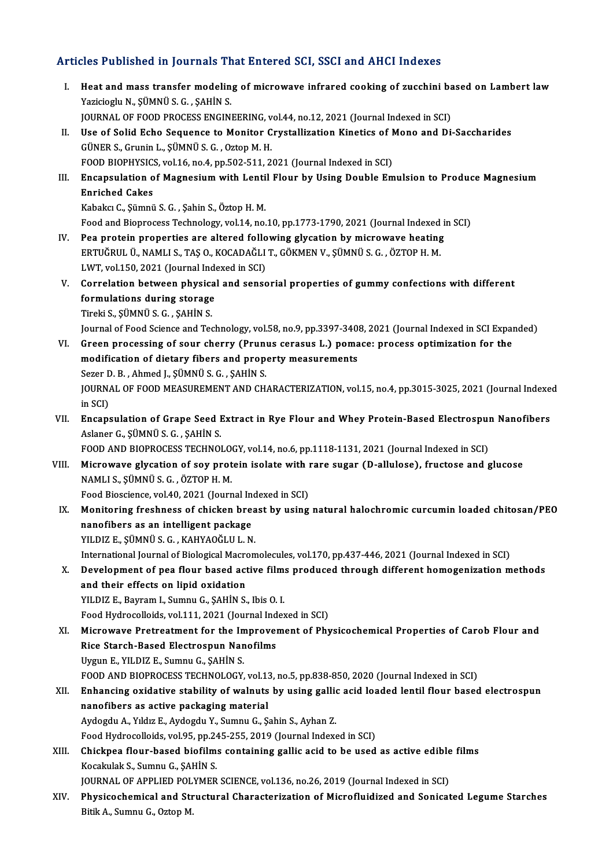## Articles Published in Journals That Entered SCI, SSCI and AHCI Indexes

- rticles Published in Journals That Entered SCI, SSCI and AHCI Indexes<br>I. Heat and mass transfer modeling of microwave infrared cooking of zucchini based on Lambert law<br>Nazidiach: N. SÜMNÜ S.C. SAHİN S YAZI TURISHOLUM JOUTHUM THE<br>Heat and mass transfer modelin<br>Yazicioglu N., ŞÜMNÜ S. G. , ŞAHİN S.<br>JOUPNAL OF FOOD PROCESS ENCINI Heat and mass transfer modeling of microwave infrared cooking of zucchini ba<br>Yazicioglu N., ŞÜMNÜ S. G. , ŞAHİN S.<br>JOURNAL OF FOOD PROCESS ENGINEERING, vol.44, no.12, 2021 (Journal Indexed in SCI)<br>Hee of Solid Echo Socuenc Yazicioglu N., ȘÜMNÜ S. G. , ȘAHİN S.<br>JOURNAL OF FOOD PROCESS ENGINEERING, vol.44, no.12, 2021 (Journal Indexed in SCI)<br>II. Use of Solid Echo Sequence to Monitor Crystallization Kinetics of Mono and Di-Saccharides<br>GÜNER S.
- JOURNAL OF FOOD PROCESS ENGINEERING, v<br>Use of Solid Echo Sequence to Monitor C<br>GÜNER S., Grunin L., ŞÜMNÜ S. G. , Oztop M. H.<br>FOOD PIOPUYSICS .val 16 no 4 np 503 511 3 Use of Solid Echo Sequence to Monitor Crystallization Kinetics of N<br>GÜNER S., Grunin L., ŞÜMNÜ S. G. , Oztop M. H.<br>FOOD BIOPHYSICS, vol.16, no.4, pp.502-511, 2021 (Journal Indexed in SCI)<br>Enconculation of Mosnesium with Lo GÜNER S., Grunin L., ŞÜMNÜ S. G. , Oztop M. H.<br>FOOD BIOPHYSICS, vol.16, no.4, pp.502-511, 2021 (Journal Indexed in SCI)<br>III. Encapsulation of Magnesium with Lentil Flour by Using Double Emulsion to Produce Magnesium<br>Engish
- FOOD BIOPHYSIC:<br>Encapsulation of<br>Enriched Cakes<br>Kabeks C. Sümnü Encapsulation of Magnesium with Lenti<br>Enriched Cakes<br>Kabakcı C., Şümnü S. G. , Şahin S., Öztop H. M.<br>Feed and Biannesses Teshnelegy vel 14 ne. E<mark>nriched Cakes</mark><br>Kabakcı C., Şümnü S. G. , Şahin S., Öztop H. M.<br>Food and Bioprocess Technology, vol.14, no.10, pp.1773-1790, 2021 (Journal Indexed in SCI)

- IV. Pea protein properties are altered following glycation by microwave heating Food and Bioprocess Technology, vol.14, no.10, pp.1773-1790, 2021 (Journal Indexed<br>Pea protein properties are altered following glycation by microwave heating<br>ERTUĞRUL Ü., NAMLI S., TAŞ O., KOCADAĞLI T., GÖKMEN V., ŞÜMNÜ S Pea protein properties are altered follo<br>ERTUĞRUL Ü., NAMLI S., TAŞ O., KOCADAĞLI<br>LWT, vol.150, 2021 (Journal Indexed in SCI)<br>Correlation between nhygisel and sense
- V. Correlation between physical and sensorial properties of gummy confections with different LWT, vol.150, 2021 (Journal Indexed in SCI)<br>Correlation between physical and sense<br>formulations during storage<br>Tireki S., SÜMNÜ S. G., SAHIN S. formulations during storage

Journal of Food Science and Technology, vol.58, no.9, pp.3397-3408, 2021 (Journal Indexed in SCI Expanded)

- Tireki S., ŞÜMNÜ S. G. , ŞAHİN S.<br>Journal of Food Science and Technology, vol.58, no.9, pp.3397-3408, 2021 (Journal Indexed in SCI Expansion for<br>VI. Green processing of sour cherry (Prunus cerasus L.) pomace: process optim Journal of Food Science and Technology, vol.58, no.9, pp.3397-340<br>Green processing of sour cherry (Prunus cerasus L.) poma<br>modification of dietary fibers and property measurements<br>Seren D. B., Abmed L. SÜMNÜ S. G., SAUIN S Green processing of sour cherry (Prunt<br>modification of dietary fibers and prope<br>Sezer D.B., Ahmed J., ŞÜMNÜ S.G. , ŞAHİN S.<br>JOUPNAL OF FOOD MEASUREMENT AND CH modification of dietary fibers and property measurements<br>Sezer D. B. , Ahmed J., ŞÜMNÜ S. G. , ŞAHİN S.<br>JOURNAL OF FOOD MEASUREMENT AND CHARACTERIZATION, vol.15, no.4, pp.3015-3025, 2021 (Journal Indexed<br>in SCD Sezer D<br>JOURNA<br>in SCI)<br>Encons JOURNAL OF FOOD MEASUREMENT AND CHARACTERIZATION, vol.15, no.4, pp.3015-3025, 2021 (Journal Indexe<br>in SCI)<br>VII. Encapsulation of Grape Seed Extract in Rye Flour and Whey Protein-Based Electrospun Nanofibers<br>Aslaper C. SÜMN
- in SCI)<br>VII. Encapsulation of Grape Seed Extract in Rye Flour and Whey Protein-Based Electrospun Nanofibers<br>Aslaner G., ŞÜMNÜ S. G. , ŞAHİN S. Aslaner G., ŞÜMNÜ S. G. , ŞAHİN S.<br>FOOD AND BIOPROCESS TECHNOLOGY, vol.14, no.6, pp.1118-1131, 2021 (Journal Indexed in SCI)<br>VIII. Microwave glycation of soy protein isolate with rare sugar (D-allulose), fructose and gluco

FOOD AND BIOPROCESS TECHNOLOGY, vol.14, no.6, pp.1118-1131, 2021 (Journal Indexed in SCI)

NAMLI S., ŞÜMNÜ S. G. , ÖZTOP H. M.<br>Food Bioscience, vol.40, 2021 (Journal Indexed in SCI) Microwave glycation of soy protein isolate with i<br>NAMLI S., ŞÜMNÜ S. G. , ÖZTOP H. M.<br>Food Bioscience, vol.40, 2021 (Journal Indexed in SCI)<br>Monitoring freshness of shisken hreast hy using

NAMLI S., ŞÜMNÜ S. G. , ÖZTOP H. M.<br>Food Bioscience, vol.40, 2021 (Journal Indexed in SCI)<br>IX. Monitoring freshness of chicken breast by using natural halochromic curcumin loaded chitosan/PEO<br>Panofibers as an intelligent n Food Bioscience, vol.40, 2021 (Journal In<br>Monitoring freshness of chicken brea<br>nanofibers as an intelligent package<br>VU DIZ E. SÜMNÜ S.C., KAHYAQČLU L.N Monitoring freshness of chicken brea<br>nanofibers as an intelligent package<br>YILDIZ E., ŞÜMNÜ S. G. , KAHYAOĞLU L. N.<br>International Journal of Biological Megner nanofibers as an intelligent package<br>YILDIZ E., ŞÜMNÜ S. G. , KAHYAOĞLU L. N.<br>International Journal of Biological Macromolecules, vol.170, pp.437-446, 2021 (Journal Indexed in SCI)<br>Davelopment of nee flour based astive fil

YILDIZ E., ȘÜMNÜ S. G. , KAHYAOĞLU L. N.<br>International Journal of Biological Macromolecules, vol.170, pp.437-446, 2021 (Journal Indexed in SCI)<br>X. Development of pea flour based active films produced through different homo International Journal of Biological Macro<br>Development of pea flour based act<br>and their effects on lipid oxidation<br>VILDIZ E. Boymam L. Sumay G. SAHIN S. Development of pea flour based active film:<br>and their effects on lipid oxidation<br>YILDIZ E., Bayram I., Sumnu G., ŞAHİN S., Ibis O. I.<br>Feed Hydreselleids vel 111, 2021 (Jeurnal Inder and their effects on lipid oxidation<br>FILDIZ E., Bayram I., Sumnu G., ŞAHİN S., Ibis O. I.<br>Food Hydrocolloids, vol.111, 2021 (Journal Indexed in SCI)<br>Misnowayo Protreatment for the Improvement of Phy

YILDIZ E., Bayram I., Sumnu G., ŞAHİN S., Ibis O. I.<br>Food Hydrocolloids, vol.111, 2021 (Journal Indexed in SCI)<br>XI. Microwave Pretreatment for the Improvement of Physicochemical Properties of Carob Flour and Food Hydrocolloids, vol.111, 2021 (Journal Ind<br>Microwave Pretreatment for the Improvel<br>Rice Starch-Based Electrospun Nanofilms<br>Urgun E. VII DIZ E. Sumpu C. SAHIN S Rice Starch-Based Electrospun Nanofilms<br>Uygun E., YILDIZ E., Sumnu G., SAHİN S. Rice Starch-Based Electrospun Nanofilms<br>Uygun E., YILDIZ E., Sumnu G., ŞAHİN S.<br>FOOD AND BIOPROCESS TECHNOLOGY, vol.13, no.5, pp.838-850, 2020 (Journal Indexed in SCI)<br>Enhanging avidative stability of walnuta by yoing gall

## Uygun E., YILDIZ E., Sumnu G., ŞAHİN S.<br>FOOD AND BIOPROCESS TECHNOLOGY, vol.13, no.5, pp.838-850, 2020 (Journal Indexed in SCI)<br>XII. Enhancing oxidative stability of walnuts by using gallic acid loaded lentil flour bas FOOD AND BIOPROCESS TECHNOLOGY, vol.13<br>Enhancing oxidative stability of walnuts<br>nanofibers as active packaging material<br>Audordy A. Vildus E. Audordy V. Sumpy G. S. Enhancing oxidative stability of walnuts by using gallion<br>nanofibers as active packaging material<br>Aydogdu A., Yıldız E., Aydogdu Y., Sumnu G., Şahin S., Ayhan Z.<br>Esed Hydreselleids vel 95 nn 245 255 2019 (Jeurnal Index nanofibers as active packaging material<br>Aydogdu A., Yıldız E., Aydogdu Y., Sumnu G., Şahin S., Ayhan Z.<br>Food Hydrocolloids, vol.95, pp.245-255, 2019 (Journal Indexed in SCI)<br>Chieknes flour based biofilms sentaining gallis

```
Aydogdu A., Yıldız E., Aydogdu Y., Sumnu G., Şahin S., Ayhan Z.<br>Food Hydrocolloids, vol.95, pp.245-255, 2019 (Journal Indexed in SCI)<br>XIII.     Chickpea flour-based biofilms containing gallic acid to be used as active edib
                 Food Hydrocolloids, vol.95, pp.24<br>Chickpea flour-based biofilm:<br>Kocakulak S., Sumnu G., ŞAHİN S.<br>JOUPNAL OF APPLIED POLYMER
                 Chickpea flour-based biofilms containing gallic acid to be used as active edible<br>Kocakulak S., Sumnu G., ŞAHİN S.<br>JOURNAL OF APPLIED POLYMER SCIENCE, vol.136, no.26, 2019 (Journal Indexed in SCI)<br>Physisashemisal and Strust
```
Kocakulak S., Sumnu G., ŞAHİN S.<br>JOURNAL OF APPLIED POLYMER SCIENCE, vol.136, no.26, 2019 (Journal Indexed in SCI)<br>XIV. Physicochemical and Structural Characterization of Microfluidized and Sonicated Legume Starches<br>Ri JOURNAL OF APPLIED POL<br><mark>Physicochemical and Str</mark><br>Bitik A., Sumnu G., Oztop M.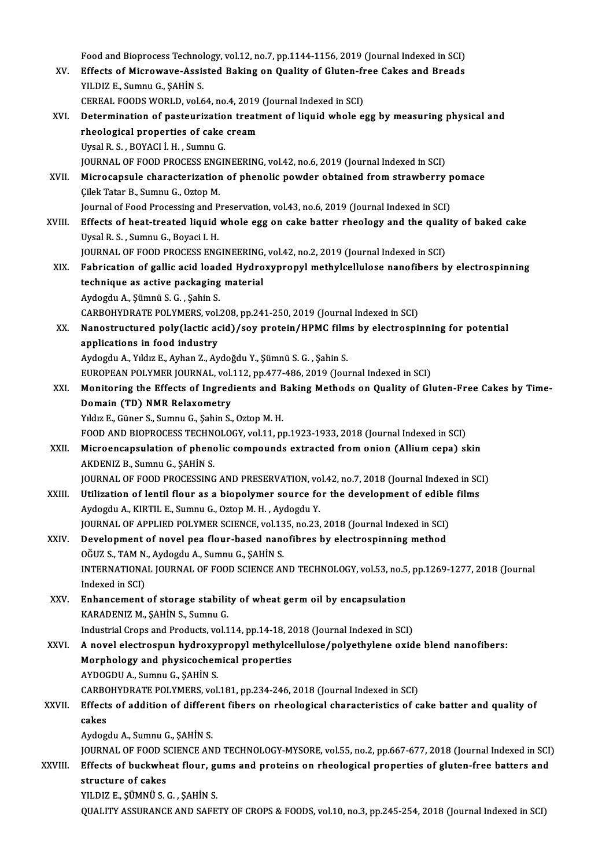|         | Food and Bioprocess Technology, vol.12, no.7, pp.1144-1156, 2019 (Journal Indexed in SCI)                                                                                         |
|---------|-----------------------------------------------------------------------------------------------------------------------------------------------------------------------------------|
| XV.     | Effects of Microwave-Assisted Baking on Quality of Gluten-free Cakes and Breads                                                                                                   |
|         | YILDIZ E, Sumnu G, ŞAHİN S.                                                                                                                                                       |
|         | CEREAL FOODS WORLD, vol.64, no.4, 2019 (Journal Indexed in SCI)                                                                                                                   |
| XVI.    | Determination of pasteurization treatment of liquid whole egg by measuring physical and                                                                                           |
|         | rheological properties of cake cream                                                                                                                                              |
|         | Uysal R. S., BOYACI İ. H., Sumnu G.                                                                                                                                               |
|         | JOURNAL OF FOOD PROCESS ENGINEERING, vol.42, no.6, 2019 (Journal Indexed in SCI)                                                                                                  |
| XVII.   | Microcapsule characterization of phenolic powder obtained from strawberry pomace<br>Çilek Tatar B., Sumnu G., Oztop M.                                                            |
|         | Journal of Food Processing and Preservation, vol.43, no.6, 2019 (Journal Indexed in SCI)                                                                                          |
| XVIII.  | Effects of heat-treated liquid whole egg on cake batter rheology and the quality of baked cake                                                                                    |
|         | Uysal R. S., Sumnu G., Boyaci I. H.                                                                                                                                               |
|         | JOURNAL OF FOOD PROCESS ENGINEERING, vol.42, no.2, 2019 (Journal Indexed in SCI)                                                                                                  |
| XIX.    | Fabrication of gallic acid loaded Hydroxypropyl methylcellulose nanofibers by electrospinning                                                                                     |
|         | technique as active packaging material                                                                                                                                            |
|         | Aydogdu A., Şümnü S. G., Şahin S.                                                                                                                                                 |
|         | CARBOHYDRATE POLYMERS, vol.208, pp.241-250, 2019 (Journal Indexed in SCI)                                                                                                         |
| XX.     | Nanostructured poly(lactic acid)/soy protein/HPMC films by electrospinning for potential                                                                                          |
|         | applications in food industry                                                                                                                                                     |
|         | Aydogdu A., Yıldız E., Ayhan Z., Aydoğdu Y., Şümnü S. G., Şahin S.                                                                                                                |
| XXI.    | EUROPEAN POLYMER JOURNAL, vol.112, pp.477-486, 2019 (Journal Indexed in SCI)<br>Monitoring the Effects of Ingredients and Baking Methods on Quality of Gluten-Free Cakes by Time- |
|         | Domain (TD) NMR Relaxometry                                                                                                                                                       |
|         | Yıldız E., Güner S., Sumnu G., Şahin S., Oztop M. H.                                                                                                                              |
|         | FOOD AND BIOPROCESS TECHNOLOGY, vol.11, pp.1923-1933, 2018 (Journal Indexed in SCI)                                                                                               |
| XXII.   | Microencapsulation of phenolic compounds extracted from onion (Allium cepa) skin                                                                                                  |
|         | AKDENIZ B, Sumnu G, SAHİN S                                                                                                                                                       |
|         | JOURNAL OF FOOD PROCESSING AND PRESERVATION, vol.42, no.7, 2018 (Journal Indexed in SCI)                                                                                          |
| XXIII.  | Utilization of lentil flour as a biopolymer source for the development of edible films                                                                                            |
|         | Aydogdu A., KIRTIL E., Sumnu G., Oztop M. H., Aydogdu Y.                                                                                                                          |
|         | JOURNAL OF APPLIED POLYMER SCIENCE, vol.135, no.23, 2018 (Journal Indexed in SCI)                                                                                                 |
| XXIV.   | Development of novel pea flour-based nanofibres by electrospinning method                                                                                                         |
|         | OĞUZ S., TAM N., Aydogdu A., Sumnu G., ŞAHİN S.                                                                                                                                   |
|         | INTERNATIONAL JOURNAL OF FOOD SCIENCE AND TECHNOLOGY, vol.53, no.5, pp.1269-1277, 2018 (Journal<br>Indexed in SCI)                                                                |
| XXV.    | Enhancement of storage stability of wheat germ oil by encapsulation                                                                                                               |
|         | KARADENIZ M., ŞAHİN S., Sumnu G.                                                                                                                                                  |
|         | Industrial Crops and Products, vol.114, pp.14-18, 2018 (Journal Indexed in SCI)                                                                                                   |
| XXVI.   | A novel electrospun hydroxypropyl methylcellulose/polyethylene oxide blend nanofibers:                                                                                            |
|         | Morphology and physicochemical properties                                                                                                                                         |
|         | AYDOGDU A., Sumnu G., ŞAHİN S.                                                                                                                                                    |
|         | CARBOHYDRATE POLYMERS, vol.181, pp.234-246, 2018 (Journal Indexed in SCI)                                                                                                         |
| XXVII.  | Effects of addition of different fibers on rheological characteristics of cake batter and quality of                                                                              |
|         | cakes                                                                                                                                                                             |
|         | Aydogdu A., Sumnu G., ŞAHİN S.<br>JOURNAL OF FOOD SCIENCE AND TECHNOLOGY-MYSORE, vol.55, no.2, pp.667-677, 2018 (Journal Indexed in SCI)                                          |
| XXVIII. | Effects of buckwheat flour, gums and proteins on rheological properties of gluten-free batters and                                                                                |
|         | structure of cakes                                                                                                                                                                |
|         | YILDIZ E, ŞÜMNÜ S. G., ŞAHİN S.                                                                                                                                                   |
|         | QUALITY ASSURANCE AND SAFETY OF CROPS & FOODS, vol.10, no.3, pp.245-254, 2018 (Journal Indexed in SCI)                                                                            |
|         |                                                                                                                                                                                   |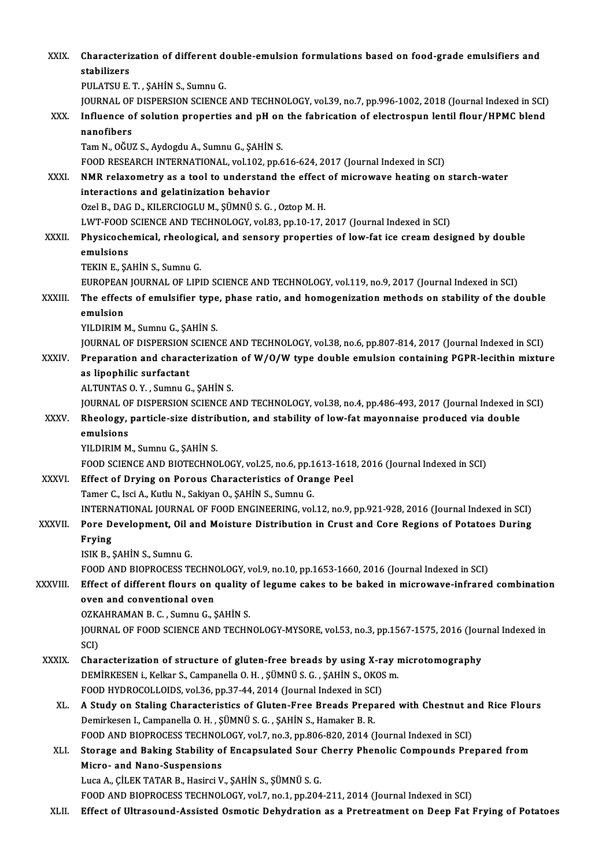| XXIX.         | Characterization of different double-emulsion formulations based on food-grade emulsifiers and<br>stabilizers  |
|---------------|----------------------------------------------------------------------------------------------------------------|
|               | PULATSU E. T., ŞAHİN S., Sumnu G.                                                                              |
|               | JOURNAL OF DISPERSION SCIENCE AND TECHNOLOGY, vol.39, no.7, pp.996-1002, 2018 (Journal Indexed in SCI)         |
| XXX.          | Influence of solution properties and pH on the fabrication of electrospun lentil flour/HPMC blend              |
|               | nanofibers                                                                                                     |
|               | Tam N., OĞUZ S., Aydogdu A., Sumnu G., ŞAHİN S.                                                                |
|               | FOOD RESEARCH INTERNATIONAL, vol.102, pp.616-624, 2017 (Journal Indexed in SCI)                                |
| XXXI.         | NMR relaxometry as a tool to understand the effect of microwave heating on starch-water                        |
|               | interactions and gelatinization behavior<br>Ozel B., DAG D., KILERCIOGLU M., ŞÜMNÜ S. G., Oztop M. H.          |
|               | LWT-FOOD SCIENCE AND TECHNOLOGY, vol.83, pp.10-17, 2017 (Journal Indexed in SCI)                               |
| XXXII.        | Physicochemical, rheological, and sensory properties of low-fat ice cream designed by double                   |
|               | emulsions                                                                                                      |
|               | TEKIN E., ŞAHİN S., Sumnu G.                                                                                   |
|               | EUROPEAN JOURNAL OF LIPID SCIENCE AND TECHNOLOGY, vol.119, no.9, 2017 (Journal Indexed in SCI)                 |
| XXXIII.       | The effects of emulsifier type, phase ratio, and homogenization methods on stability of the double<br>emulsion |
|               | YILDIRIM M., Sumnu G., ŞAHİN S.                                                                                |
|               | JOURNAL OF DISPERSION SCIENCE AND TECHNOLOGY, vol.38, no.6, pp.807-814, 2017 (Journal Indexed in SCI)          |
| XXXIV.        | Preparation and characterization of W/O/W type double emulsion containing PGPR-lecithin mixture                |
|               | as lipophilic surfactant                                                                                       |
|               | ALTUNTAS O.Y., Sumnu G., ŞAHİN S.                                                                              |
|               | JOURNAL OF DISPERSION SCIENCE AND TECHNOLOGY, vol.38, no.4, pp.486-493, 2017 (Journal Indexed in SCI)          |
| <b>XXXV</b>   | Rheology, particle-size distribution, and stability of low-fat mayonnaise produced via double<br>emulsions     |
|               | YILDIRIM M., Sumnu G., ŞAHİN S.                                                                                |
|               | FOOD SCIENCE AND BIOTECHNOLOGY, vol.25, no.6, pp.1613-1618, 2016 (Journal Indexed in SCI)                      |
| <b>XXXVI</b>  | Effect of Drying on Porous Characteristics of Orange Peel                                                      |
|               | Tamer C., Isci A., Kutlu N., Sakiyan O., ŞAHİN S., Sumnu G.                                                    |
|               | INTERNATIONAL JOURNAL OF FOOD ENGINEERING, vol.12, no.9, pp.921-928, 2016 (Journal Indexed in SCI)             |
| <b>XXXVII</b> | Pore Development, Oil and Moisture Distribution in Crust and Core Regions of Potatoes During                   |
|               | Frying                                                                                                         |
|               | ISIK B., ŞAHİN S., Sumnu G.                                                                                    |
|               | FOOD AND BIOPROCESS TECHNOLOGY, vol.9, no.10, pp.1653-1660, 2016 (Journal Indexed in SCI)                      |
| XXXVIII.      | Effect of different flours on quality of legume cakes to be baked in microwave-infrared combination            |
|               | oven and conventional oven                                                                                     |
|               | OZKAHRAMAN B. C., Sumnu G., ŞAHİN S.                                                                           |
|               | JOURNAL OF FOOD SCIENCE AND TECHNOLOGY-MYSORE, vol.53, no.3, pp.1567-1575, 2016 (Journal Indexed in            |
| <b>XXXIX</b>  | SCI)<br>Characterization of structure of gluten-free breads by using X-ray microtomography                     |
|               | DEMİRKESEN i., Kelkar S., Campanella O. H., ŞÜMNÜ S. G., ŞAHİN S., OKOS m.                                     |
|               | FOOD HYDROCOLLOIDS, vol.36, pp.37-44, 2014 (Journal Indexed in SCI)                                            |
| XL.           | A Study on Staling Characteristics of Gluten-Free Breads Prepared with Chestnut and Rice Flours                |
|               | Demirkesen I., Campanella O. H., ŞÜMNÜ S. G., ŞAHİN S., Hamaker B. R.                                          |
|               | FOOD AND BIOPROCESS TECHNOLOGY, vol.7, no.3, pp.806-820, 2014 (Journal Indexed in SCI)                         |
| XLI.          | Storage and Baking Stability of Encapsulated Sour Cherry Phenolic Compounds Prepared from                      |
|               | Micro- and Nano-Suspensions                                                                                    |
|               | Luca A., ÇİLEK TATAR B., Hasirci V., ŞAHİN S., ŞÜMNÜ S. G.                                                     |
|               | FOOD AND BIOPROCESS TECHNOLOGY, vol.7, no.1, pp.204-211, 2014 (Journal Indexed in SCI)                         |
| XLII.         | Effect of Ultrasound-Assisted Osmotic Dehydration as a Pretreatment on Deep Fat Frying of Potatoes             |
|               |                                                                                                                |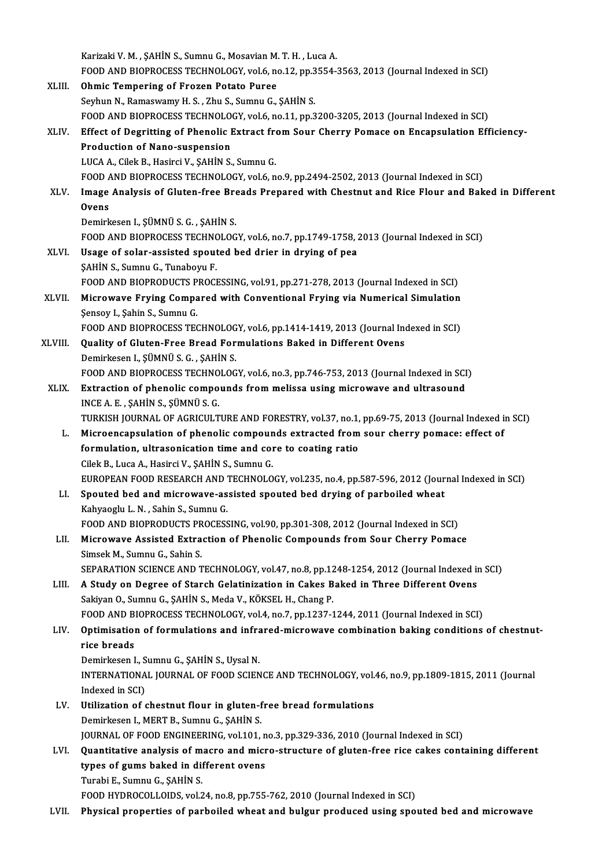|         | Karizaki V. M., ŞAHİN S., Sumnu G., Mosavian M. T. H., Luca A.                                     |
|---------|----------------------------------------------------------------------------------------------------|
|         | FOOD AND BIOPROCESS TECHNOLOGY, vol.6, no.12, pp.3554-3563, 2013 (Journal Indexed in SCI)          |
| XLIII.  | <b>Ohmic Tempering of Frozen Potato Puree</b>                                                      |
|         | Seyhun N., Ramaswamy H. S., Zhu S., Sumnu G., ŞAHİN S.                                             |
|         | FOOD AND BIOPROCESS TECHNOLOGY, vol.6, no.11, pp.3200-3205, 2013 (Journal Indexed in SCI)          |
| XLIV.   | Effect of Degritting of Phenolic Extract from Sour Cherry Pomace on Encapsulation Efficiency-      |
|         | <b>Production of Nano-suspension</b>                                                               |
|         | LUCA A., Cilek B., Hasirci V., ŞAHİN S., Sumnu G.                                                  |
|         | FOOD AND BIOPROCESS TECHNOLOGY, vol.6, no.9, pp.2494-2502, 2013 (Journal Indexed in SCI)           |
| XLV.    | Image Analysis of Gluten-free Breads Prepared with Chestnut and Rice Flour and Baked in Different  |
|         | <b>Ovens</b>                                                                                       |
|         | Demirkesen I., ŞÜMNÜ S. G., ŞAHİN S.                                                               |
|         | FOOD AND BIOPROCESS TECHNOLOGY, vol.6, no.7, pp.1749-1758, 2013 (Journal Indexed in SCI)           |
| XLVI.   | Usage of solar-assisted spouted bed drier in drying of pea                                         |
|         | SAHIN S., Sumnu G., Tunaboyu F.                                                                    |
|         | FOOD AND BIOPRODUCTS PROCESSING, vol.91, pp.271-278, 2013 (Journal Indexed in SCI)                 |
| XLVII.  | Microwave Frying Compared with Conventional Frying via Numerical Simulation                        |
|         | Şensoy I., Şahin S., Sumnu G.                                                                      |
|         | FOOD AND BIOPROCESS TECHNOLOGY, vol.6, pp.1414-1419, 2013 (Journal Indexed in SCI)                 |
| XLVIII. | Quality of Gluten-Free Bread Formulations Baked in Different Ovens                                 |
|         | Demirkesen I., ŞÜMNÜ S. G., ŞAHİN S.                                                               |
|         | FOOD AND BIOPROCESS TECHNOLOGY, vol.6, no.3, pp.746-753, 2013 (Journal Indexed in SCI)             |
| XLIX.   | Extraction of phenolic compounds from melissa using microwave and ultrasound                       |
|         | INCE A. E., ŞAHİN S., ŞÜMNÜ S. G.                                                                  |
|         | TURKISH JOURNAL OF AGRICULTURE AND FORESTRY, vol.37, no.1, pp.69-75, 2013 (Journal Indexed in SCI) |
| L.      | Microencapsulation of phenolic compounds extracted from sour cherry pomace: effect of              |
|         | formulation, ultrasonication time and core to coating ratio                                        |
|         | Cilek B., Luca A., Hasirci V., ŞAHİN S., Sumnu G.                                                  |
|         | EUROPEAN FOOD RESEARCH AND TECHNOLOGY, vol.235, no.4, pp.587-596, 2012 (Journal Indexed in SCI)    |
| LI.     | Spouted bed and microwave-assisted spouted bed drying of parboiled wheat                           |
|         | Kahyaoglu L N , Sahin S , Sumnu G                                                                  |
|         | FOOD AND BIOPRODUCTS PROCESSING, vol.90, pp.301-308, 2012 (Journal Indexed in SCI)                 |
| LII.    | Microwave Assisted Extraction of Phenolic Compounds from Sour Cherry Pomace                        |
|         | Simsek M., Sumnu G., Sahin S.                                                                      |
|         | SEPARATION SCIENCE AND TECHNOLOGY, vol.47, no.8, pp.1248-1254, 2012 (Journal Indexed in SCI)       |
| LIII.   | A Study on Degree of Starch Gelatinization in Cakes Baked in Three Different Ovens                 |
|         | Sakiyan O., Sumnu G., ŞAHİN S., Meda V., KÖKSEL H., Chang P.                                       |
|         | FOOD AND BIOPROCESS TECHNOLOGY, vol.4, no.7, pp.1237-1244, 2011 (Journal Indexed in SCI)           |
| LIV.    | Optimisation of formulations and infrared-microwave combination baking conditions of chestnut-     |
|         | rice breads                                                                                        |
|         | Demirkesen I., Sumnu G., ŞAHİN S., Uysal N.                                                        |
|         | INTERNATIONAL JOURNAL OF FOOD SCIENCE AND TECHNOLOGY, vol.46, no.9, pp.1809-1815, 2011 (Journal    |
|         | Indexed in SCI)                                                                                    |
| LV.     | Utilization of chestnut flour in gluten-free bread formulations                                    |
|         | Demirkesen I., MERT B., Sumnu G., ŞAHİN S.                                                         |
|         | JOURNAL OF FOOD ENGINEERING, vol.101, no.3, pp.329-336, 2010 (Journal Indexed in SCI)              |
| LVI.    | Quantitative analysis of macro and micro-structure of gluten-free rice cakes containing different  |
|         | types of gums baked in different ovens                                                             |
|         | Turabi E., Sumnu G., ŞAHİN S.                                                                      |
|         | FOOD HYDROCOLLOIDS, vol.24, no.8, pp.755-762, 2010 (Journal Indexed in SCI)                        |
| LVII.   | Physical properties of parboiled wheat and bulgur produced using spouted bed and microwave         |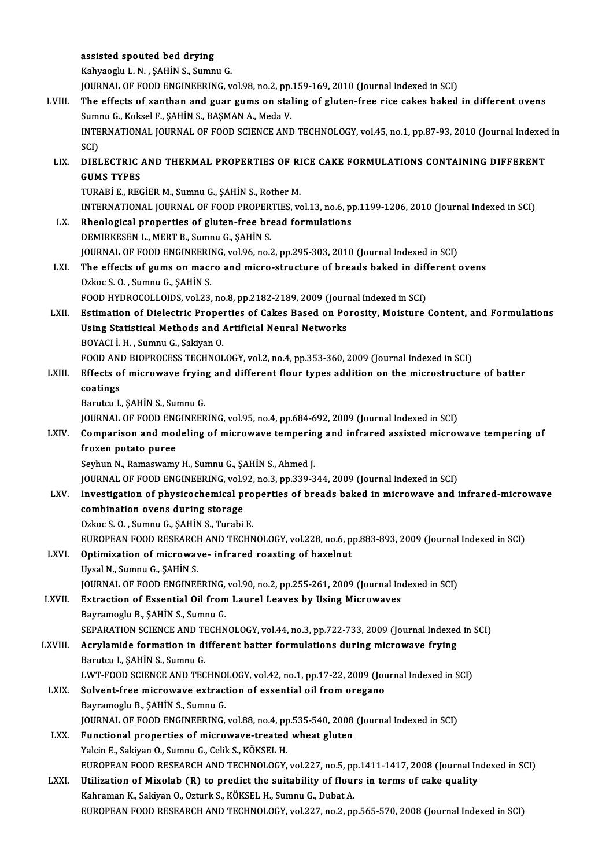|             | assisted spouted bed drying                                                                                                                               |
|-------------|-----------------------------------------------------------------------------------------------------------------------------------------------------------|
|             | Kahyaoglu L. N., ŞAHİN S., Sumnu G.                                                                                                                       |
|             | JOURNAL OF FOOD ENGINEERING, vol.98, no.2, pp.159-169, 2010 (Journal Indexed in SCI)                                                                      |
| LVIII.      | The effects of xanthan and guar gums on staling of gluten-free rice cakes baked in different ovens                                                        |
|             | Sumnu G., Koksel F., ŞAHİN S., BAŞMAN A., Meda V.                                                                                                         |
|             | INTERNATIONAL JOURNAL OF FOOD SCIENCE AND TECHNOLOGY, vol.45, no.1, pp.87-93, 2010 (Journal Indexed in                                                    |
|             | SCI)                                                                                                                                                      |
| LIX.        | DIELECTRIC AND THERMAL PROPERTIES OF RICE CAKE FORMULATIONS CONTAINING DIFFERENT                                                                          |
|             | <b>GUMS TYPES</b>                                                                                                                                         |
|             | TURABİ E., REGİER M., Sumnu G., ŞAHİN S., Rother M.                                                                                                       |
|             | INTERNATIONAL JOURNAL OF FOOD PROPERTIES, vol.13, no.6, pp.1199-1206, 2010 (Journal Indexed in SCI)                                                       |
| LX.         | Rheological properties of gluten-free bread formulations                                                                                                  |
|             | DEMIRKESEN L., MERT B., Sumnu G., ŞAHİN S.                                                                                                                |
|             | JOURNAL OF FOOD ENGINEERING, vol.96, no.2, pp.295-303, 2010 (Journal Indexed in SCI)                                                                      |
| LXI.        | The effects of gums on macro and micro-structure of breads baked in different ovens                                                                       |
|             | Ozkoc S O , Sumnu G , SAHIN S                                                                                                                             |
|             | FOOD HYDROCOLLOIDS, vol.23, no.8, pp.2182-2189, 2009 (Journal Indexed in SCI)                                                                             |
| LXII.       | Estimation of Dielectric Properties of Cakes Based on Porosity, Moisture Content, and Formulations                                                        |
|             | Using Statistical Methods and Artificial Neural Networks                                                                                                  |
|             | BOYACI İ. H., Sumnu G., Sakiyan O.                                                                                                                        |
|             | FOOD AND BIOPROCESS TECHNOLOGY, vol.2, no.4, pp.353-360, 2009 (Journal Indexed in SCI)                                                                    |
| LXIII.      | Effects of microwave frying and different flour types addition on the microstructure of batter                                                            |
|             | coatings<br>Barutcu I., ŞAHİN S., Sumnu G.                                                                                                                |
|             | JOURNAL OF FOOD ENGINEERING, vol.95, no.4, pp.684-692, 2009 (Journal Indexed in SCI)                                                                      |
| LXIV.       | Comparison and modeling of microwave tempering and infrared assisted microwave tempering of                                                               |
|             | frozen potato puree                                                                                                                                       |
|             | Seyhun N., Ramaswamy H., Sumnu G., ŞAHİN S., Ahmed J.                                                                                                     |
|             | JOURNAL OF FOOD ENGINEERING, vol.92, no.3, pp.339-344, 2009 (Journal Indexed in SCI)                                                                      |
| LXV.        | Investigation of physicochemical properties of breads baked in microwave and infrared-microwave                                                           |
|             | combination ovens during storage                                                                                                                          |
|             | Ozkoc S.O., Sumnu G., ŞAHİN S., Turabi E.                                                                                                                 |
|             | EUROPEAN FOOD RESEARCH AND TECHNOLOGY, vol.228, no.6, pp.883-893, 2009 (Journal Indexed in SCI)                                                           |
| LXVI.       | Optimization of microwave- infrared roasting of hazelnut                                                                                                  |
|             | Uysal N., Sumnu G., ŞAHİN S.                                                                                                                              |
|             | JOURNAL OF FOOD ENGINEERING, vol.90, no.2, pp.255-261, 2009 (Journal Indexed in SCI)                                                                      |
| LXVII.      | Extraction of Essential Oil from Laurel Leaves by Using Microwaves                                                                                        |
|             | Bayramoglu B., ŞAHİN S., Sumnu G.                                                                                                                         |
|             | SEPARATION SCIENCE AND TECHNOLOGY, vol.44, no.3, pp.722-733, 2009 (Journal Indexed in SCI)                                                                |
| LXVIII.     | Acrylamide formation in different batter formulations during microwave frying                                                                             |
|             | Barutcu I., ŞAHİN S., Sumnu G.                                                                                                                            |
|             | LWT-FOOD SCIENCE AND TECHNOLOGY, vol.42, no.1, pp.17-22, 2009 (Journal Indexed in SCI)                                                                    |
| <b>LXIX</b> | Solvent-free microwave extraction of essential oil from oregano                                                                                           |
|             | Bayramoglu B., ŞAHİN S., Sumnu G.                                                                                                                         |
|             | JOURNAL OF FOOD ENGINEERING, vol.88, no.4, pp.535-540, 2008 (Journal Indexed in SCI)                                                                      |
| LXX.        | Functional properties of microwave-treated wheat gluten                                                                                                   |
|             | Yalcin E., Sakiyan O., Sumnu G., Celik S., KÖKSEL H.<br>EUROPEAN FOOD RESEARCH AND TECHNOLOGY, vol.227, no.5, pp.1411-1417, 2008 (Journal Indexed in SCI) |
| LXXI.       | Utilization of Mixolab (R) to predict the suitability of flours in terms of cake quality                                                                  |
|             | Kahraman K., Sakiyan O., Ozturk S., KÖKSEL H., Sumnu G., Dubat A.                                                                                         |
|             | EUROPEAN FOOD RESEARCH AND TECHNOLOGY, vol.227, no.2, pp.565-570, 2008 (Journal Indexed in SCI)                                                           |
|             |                                                                                                                                                           |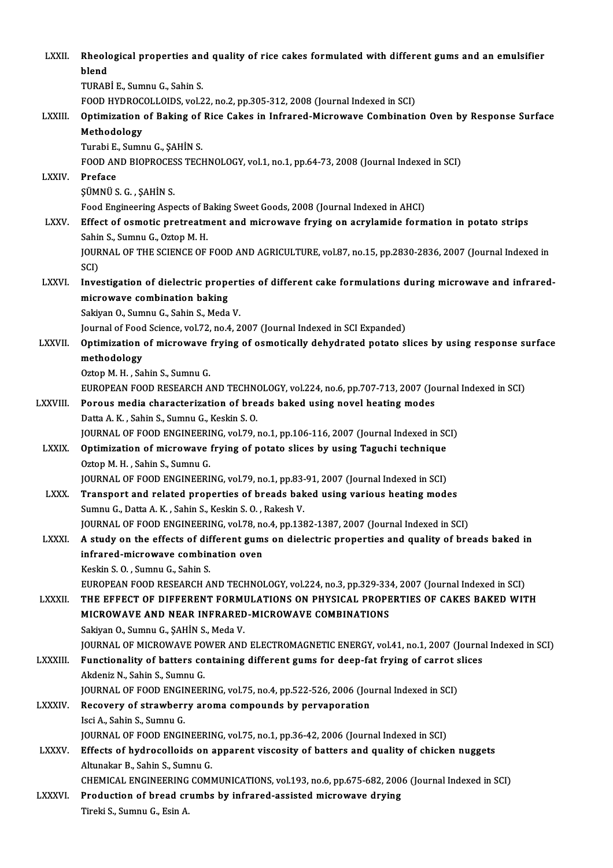| LXXII.         | Rheological properties and quality of rice cakes formulated with different gums and an emulsifier<br>blend                   |
|----------------|------------------------------------------------------------------------------------------------------------------------------|
|                | TURABİ E., Sumnu G., Sahin S.                                                                                                |
|                | FOOD HYDROCOLLOIDS, vol.22, no.2, pp.305-312, 2008 (Journal Indexed in SCI)                                                  |
| LXXIII.        | Optimization of Baking of Rice Cakes in Infrared-Microwave Combination Oven by Response Surface                              |
|                | Methodology                                                                                                                  |
|                | Turabi E., Sumnu G., ŞAHİN S.                                                                                                |
| <b>LXXIV</b>   | FOOD AND BIOPROCESS TECHNOLOGY, vol.1, no.1, pp.64-73, 2008 (Journal Indexed in SCI)<br>Preface                              |
|                | ŞÜMNÜ S. G., ŞAHİN S.                                                                                                        |
|                | Food Engineering Aspects of Baking Sweet Goods, 2008 (Journal Indexed in AHCI)                                               |
| <b>LXXV</b>    | Effect of osmotic pretreatment and microwave frying on acrylamide formation in potato strips                                 |
|                | Sahin S., Sumnu G., Oztop M. H.                                                                                              |
|                | JOURNAL OF THE SCIENCE OF FOOD AND AGRICULTURE, vol.87, no.15, pp.2830-2836, 2007 (Journal Indexed in                        |
|                | SCI)                                                                                                                         |
| <b>LXXVI</b>   | Investigation of dielectric properties of different cake formulations during microwave and infrared-                         |
|                | microwave combination baking                                                                                                 |
|                | Sakiyan O., Sumnu G., Sahin S., Meda V.                                                                                      |
|                | Journal of Food Science, vol.72, no.4, 2007 (Journal Indexed in SCI Expanded)                                                |
| <b>LXXVII.</b> | Optimization of microwave frying of osmotically dehydrated potato slices by using response surface                           |
|                | methodology                                                                                                                  |
|                | Oztop M. H., Sahin S., Sumnu G.                                                                                              |
|                | EUROPEAN FOOD RESEARCH AND TECHNOLOGY, vol.224, no.6, pp.707-713, 2007 (Journal Indexed in SCI)                              |
| LXXVIII.       | Porous media characterization of breads baked using novel heating modes                                                      |
|                | Datta A K, Sahin S, Sumnu G, Keskin S O.                                                                                     |
|                | JOURNAL OF FOOD ENGINEERING, vol.79, no.1, pp.106-116, 2007 (Journal Indexed in SCI)                                         |
| <b>LXXIX</b>   | Optimization of microwave frying of potato slices by using Taguchi technique                                                 |
|                | Oztop M. H., Sahin S., Sumnu G.<br>JOURNAL OF FOOD ENGINEERING, vol.79, no.1, pp.83-91, 2007 (Journal Indexed in SCI)        |
| <b>LXXX</b>    | Transport and related properties of breads baked using various heating modes                                                 |
|                | Sumnu G., Datta A. K., Sahin S., Keskin S. O., Rakesh V.                                                                     |
|                | JOURNAL OF FOOD ENGINEERING, vol.78, no.4, pp.1382-1387, 2007 (Journal Indexed in SCI)                                       |
| <b>LXXXI</b>   | A study on the effects of different gums on dielectric properties and quality of breads baked in                             |
|                | infrared-microwave combination oven                                                                                          |
|                | Keskin S.O., Sumnu G., Sahin S.                                                                                              |
|                | EUROPEAN FOOD RESEARCH AND TECHNOLOGY, vol.224, no.3, pp.329-334, 2007 (Journal Indexed in SCI)                              |
| LXXXII.        | THE EFFECT OF DIFFERENT FORMULATIONS ON PHYSICAL PROPERTIES OF CAKES BAKED WITH                                              |
|                | MICROWAVE AND NEAR INFRARED-MICROWAVE COMBINATIONS                                                                           |
|                | Sakiyan O., Sumnu G., ŞAHİN S., Meda V.                                                                                      |
|                | JOURNAL OF MICROWAVE POWER AND ELECTROMAGNETIC ENERGY, vol.41, no.1, 2007 (Journal Indexed in SCI)                           |
| LXXXIII.       | Functionality of batters containing different gums for deep-fat frying of carrot slices                                      |
|                | Akdeniz N., Sahin S., Sumnu G.                                                                                               |
|                | JOURNAL OF FOOD ENGINEERING, vol.75, no.4, pp.522-526, 2006 (Journal Indexed in SCI)                                         |
| <b>LXXXIV</b>  | Recovery of strawberry aroma compounds by pervaporation                                                                      |
|                | Isci A., Sahin S., Sumnu G.                                                                                                  |
|                | JOURNAL OF FOOD ENGINEERING, vol.75, no.1, pp.36-42, 2006 (Journal Indexed in SCI)                                           |
| <b>LXXXV.</b>  | Effects of hydrocolloids on apparent viscosity of batters and quality of chicken nuggets<br>Altunakar B., Sahin S., Sumnu G. |
|                | CHEMICAL ENGINEERING COMMUNICATIONS, vol.193, no.6, pp.675-682, 2006 (Journal Indexed in SCI)                                |
| <b>LXXXVI.</b> | Production of bread crumbs by infrared-assisted microwave drying                                                             |
|                | Tireki S., Sumnu G., Esin A.                                                                                                 |
|                |                                                                                                                              |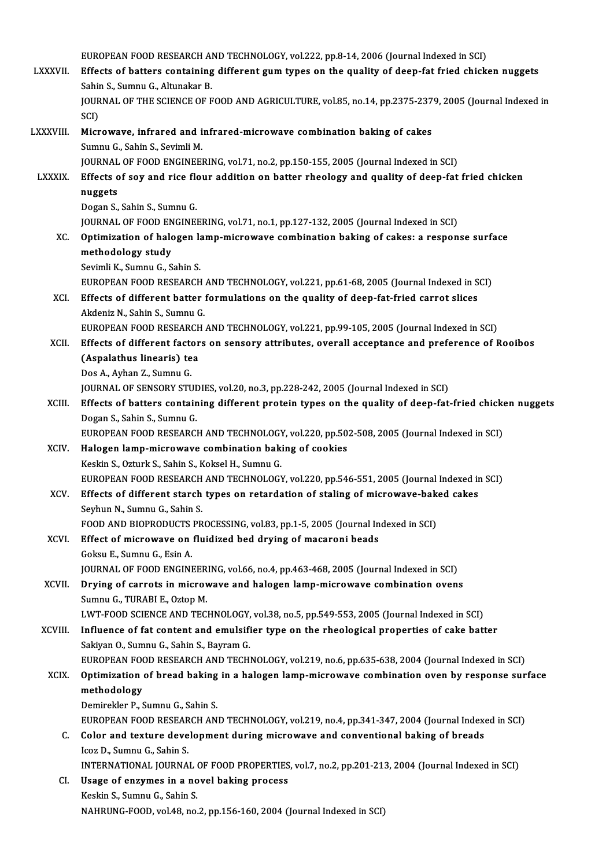EUROPEAN FOOD RESEARCH AND TECHNOLOGY, vol.222, pp.8-14, 2006 (Journal Indexed in SCI)<br>Effects of betters containing different gum tunes on the quality of deep fot fried shield

|                 | EUROPEAN FOOD RESEARCH AND TECHNOLOGY, vol.222, pp.8-14, 2006 (Journal Indexed in SCI)                               |
|-----------------|----------------------------------------------------------------------------------------------------------------------|
| <b>LXXXVII.</b> | Effects of batters containing different gum types on the quality of deep-fat fried chicken nuggets                   |
|                 | Sahin S., Sumnu G., Altunakar B.                                                                                     |
|                 | JOURNAL OF THE SCIENCE OF FOOD AND AGRICULTURE, vol.85, no.14, pp.2375-2379, 2005 (Journal Indexed in                |
|                 | SCI)                                                                                                                 |
| LXXXVIII.       | Microwave, infrared and infrared-microwave combination baking of cakes                                               |
|                 | Sumnu G., Sahin S., Sevimli M.                                                                                       |
|                 | JOURNAL OF FOOD ENGINEERING, vol.71, no.2, pp.150-155, 2005 (Journal Indexed in SCI)                                 |
| LXXXIX.         | Effects of soy and rice flour addition on batter rheology and quality of deep-fat fried chicken                      |
|                 | nuggets                                                                                                              |
|                 | Dogan S., Sahin S., Sumnu G.<br>JOURNAL OF FOOD ENGINEERING, vol.71, no.1, pp.127-132, 2005 (Journal Indexed in SCI) |
| XC.             | Optimization of halogen lamp-microwave combination baking of cakes: a response surface                               |
|                 | methodology study                                                                                                    |
|                 | Sevimli K., Sumnu G., Sahin S.                                                                                       |
|                 | EUROPEAN FOOD RESEARCH AND TECHNOLOGY, vol.221, pp.61-68, 2005 (Journal Indexed in SCI)                              |
| XCI.            | Effects of different batter formulations on the quality of deep-fat-fried carrot slices                              |
|                 | Akdeniz N., Sahin S., Sumnu G.                                                                                       |
|                 | EUROPEAN FOOD RESEARCH AND TECHNOLOGY, vol.221, pp.99-105, 2005 (Journal Indexed in SCI)                             |
| XCII.           | Effects of different factors on sensory attributes, overall acceptance and preference of Rooibos                     |
|                 | (Aspalathus linearis) tea                                                                                            |
|                 | Dos A., Ayhan Z., Sumnu G.                                                                                           |
|                 | JOURNAL OF SENSORY STUDIES, vol.20, no.3, pp.228-242, 2005 (Journal Indexed in SCI)                                  |
| XCIII.          | Effects of batters containing different protein types on the quality of deep-fat-fried chicken nuggets               |
|                 | Dogan S., Sahin S., Sumnu G.                                                                                         |
|                 | EUROPEAN FOOD RESEARCH AND TECHNOLOGY, vol.220, pp.502-508, 2005 (Journal Indexed in SCI)                            |
| XCIV.           | Halogen lamp-microwave combination baking of cookies                                                                 |
|                 | Keskin S., Ozturk S., Sahin S., Koksel H., Sumnu G.                                                                  |
|                 | EUROPEAN FOOD RESEARCH AND TECHNOLOGY, vol.220, pp.546-551, 2005 (Journal Indexed in SCI)                            |
| XCV.            | Effects of different starch types on retardation of staling of microwave-baked cakes                                 |
|                 | Seyhun N., Sumnu G., Sahin S.                                                                                        |
|                 | FOOD AND BIOPRODUCTS PROCESSING, vol.83, pp.1-5, 2005 (Journal Indexed in SCI)                                       |
| XCVI.           | Effect of microwave on fluidized bed drying of macaroni beads<br>Goksu E., Sumnu G., Esin A.                         |
|                 | JOURNAL OF FOOD ENGINEERING, vol.66, no.4, pp.463-468, 2005 (Journal Indexed in SCI)                                 |
| XCVII.          | Drying of carrots in microwave and halogen lamp-microwave combination ovens                                          |
|                 | Sumnu G., TURABI E., Oztop M.                                                                                        |
|                 | LWT-FOOD SCIENCE AND TECHNOLOGY, vol.38, no.5, pp.549-553, 2005 (Journal Indexed in SCI)                             |
| XCVIII.         | Influence of fat content and emulsifier type on the rheological properties of cake batter                            |
|                 | Sakiyan O., Sumnu G., Sahin S., Bayram G.                                                                            |
|                 | EUROPEAN FOOD RESEARCH AND TECHNOLOGY, vol.219, no.6, pp.635-638, 2004 (Journal Indexed in SCI)                      |
| <b>XCIX</b>     | Optimization of bread baking in a halogen lamp-microwave combination oven by response surface                        |
|                 | methodology                                                                                                          |
|                 | Demirekler P., Sumnu G., Sahin S.                                                                                    |
|                 | EUROPEAN FOOD RESEARCH AND TECHNOLOGY, vol.219, no.4, pp.341-347, 2004 (Journal Indexed in SCI)                      |
| C.              | Color and texture development during microwave and conventional baking of breads                                     |
|                 | Icoz D., Sumnu G., Sahin S.                                                                                          |
|                 | INTERNATIONAL JOURNAL OF FOOD PROPERTIES, vol.7, no.2, pp.201-213, 2004 (Journal Indexed in SCI)                     |
| CI.             | Usage of enzymes in a novel baking process                                                                           |
|                 | Keskin S., Sumnu G., Sahin S.                                                                                        |
|                 | NAHRUNG-FOOD, vol.48, no.2, pp.156-160, 2004 (Journal Indexed in SCI)                                                |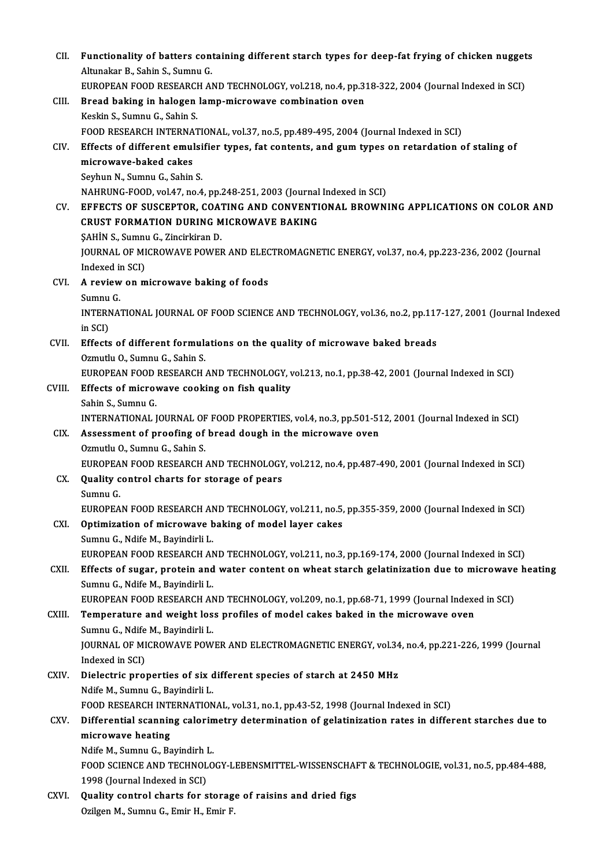| CII.   | Functionality of batters containing different starch types for deep-fat frying of chicken nuggets<br>Altunakar B., Sahin S., Sumnu G.                                            |
|--------|----------------------------------------------------------------------------------------------------------------------------------------------------------------------------------|
|        | EUROPEAN FOOD RESEARCH AND TECHNOLOGY, vol.218, no.4, pp.318-322, 2004 (Journal Indexed in SCI)                                                                                  |
| CIII.  | Bread baking in halogen lamp-microwave combination oven                                                                                                                          |
|        | Keskin S., Sumnu G., Sahin S.                                                                                                                                                    |
|        | FOOD RESEARCH INTERNATIONAL, vol.37, no.5, pp.489-495, 2004 (Journal Indexed in SCI)                                                                                             |
| CIV.   | Effects of different emulsifier types, fat contents, and gum types on retardation of staling of                                                                                  |
|        | microwave-baked cakes                                                                                                                                                            |
|        | Seyhun N., Sumnu G., Sahin S.                                                                                                                                                    |
|        | NAHRUNG-FOOD, vol.47, no.4, pp.248-251, 2003 (Journal Indexed in SCI)                                                                                                            |
| CV     | EFFECTS OF SUSCEPTOR, COATING AND CONVENTIONAL BROWNING APPLICATIONS ON COLOR AND                                                                                                |
|        | <b>CRUST FORMATION DURING MICROWAVE BAKING</b>                                                                                                                                   |
|        | SAHİN S., Sumnu G., Zincirkiran D.                                                                                                                                               |
|        | JOURNAL OF MICROWAVE POWER AND ELECTROMAGNETIC ENERGY, vol.37, no.4, pp.223-236, 2002 (Journal                                                                                   |
|        | Indexed in SCI)                                                                                                                                                                  |
| CVI.   | A review on microwave baking of foods                                                                                                                                            |
|        | Sumnu G                                                                                                                                                                          |
|        | INTERNATIONAL JOURNAL OF FOOD SCIENCE AND TECHNOLOGY, vol.36, no.2, pp.117-127, 2001 (Journal Indexed<br>in SCI)                                                                 |
| CVII.  | Effects of different formulations on the quality of microwave baked breads                                                                                                       |
|        | Ozmutlu O., Sumnu G., Sahin S.                                                                                                                                                   |
|        | EUROPEAN FOOD RESEARCH AND TECHNOLOGY, vol.213, no.1, pp.38-42, 2001 (Journal Indexed in SCI)                                                                                    |
| CVIII. | Effects of microwave cooking on fish quality                                                                                                                                     |
|        | Sahin S., Sumnu G.                                                                                                                                                               |
|        | INTERNATIONAL JOURNAL OF FOOD PROPERTIES, vol.4, no.3, pp.501-512, 2001 (Journal Indexed in SCI)                                                                                 |
| CIX.   | Assessment of proofing of bread dough in the microwave oven                                                                                                                      |
|        | Ozmutlu O., Sumnu G., Sahin S.                                                                                                                                                   |
|        | EUROPEAN FOOD RESEARCH AND TECHNOLOGY, vol.212, no.4, pp.487-490, 2001 (Journal Indexed in SCI)                                                                                  |
| CX.    | Quality control charts for storage of pears                                                                                                                                      |
|        | Sumnu G                                                                                                                                                                          |
|        | EUROPEAN FOOD RESEARCH AND TECHNOLOGY, vol.211, no.5, pp.355-359, 2000 (Journal Indexed in SCI)                                                                                  |
| CXI.   | Optimization of microwave baking of model layer cakes                                                                                                                            |
|        | Sumnu G., Ndife M., Bayindirli L.                                                                                                                                                |
|        | EUROPEAN FOOD RESEARCH AND TECHNOLOGY, vol.211, no.3, pp.169-174, 2000 (Journal Indexed in SCI)                                                                                  |
| CXII.  | Effects of sugar, protein and water content on wheat starch gelatinization due to microwave heating                                                                              |
|        | Sumnu G., Ndife M., Bayindirli L.                                                                                                                                                |
|        | EUROPEAN FOOD RESEARCH AND TECHNOLOGY, vol.209, no.1, pp.68-71, 1999 (Journal Indexed in SCI)<br>Temperature and weight loss profiles of model cakes baked in the microwave oven |
| CXIII. |                                                                                                                                                                                  |
|        | Sumnu G., Ndife M., Bayindirli L.                                                                                                                                                |
|        | JOURNAL OF MICROWAVE POWER AND ELECTROMAGNETIC ENERGY, vol.34, no.4, pp.221-226, 1999 (Journal<br>Indexed in SCI)                                                                |
| CXIV.  | Dielectric properties of six different species of starch at 2450 MHz                                                                                                             |
|        | Ndife M., Sumnu G., Bayindirli L.                                                                                                                                                |
|        | FOOD RESEARCH INTERNATIONAL, vol.31, no.1, pp.43-52, 1998 (Journal Indexed in SCI)                                                                                               |
| CXV.   | Differential scanning calorimetry determination of gelatinization rates in different starches due to                                                                             |
|        | microwave heating                                                                                                                                                                |
|        | Ndife M., Sumnu G., Bayindirh L.                                                                                                                                                 |
|        | FOOD SCIENCE AND TECHNOLOGY-LEBENSMITTEL-WISSENSCHAFT & TECHNOLOGIE, vol.31, no.5, pp.484-488,                                                                                   |
|        | 1998 (Journal Indexed in SCI)                                                                                                                                                    |
| CXVI.  | Quality control charts for storage of raisins and dried figs                                                                                                                     |
|        | Ozilgen M., Sumnu G., Emir H., Emir F.                                                                                                                                           |
|        |                                                                                                                                                                                  |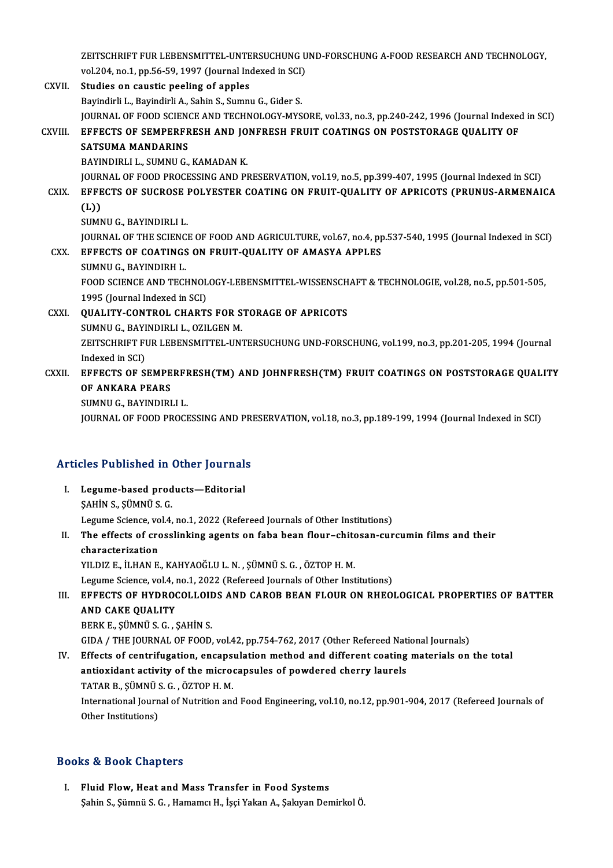ZEITSCHRIFT FUR LEBENSMITTEL-UNTERSUCHUNG UND-FORSCHUNG A-FOOD RESEARCH AND TECHNOLOGY,<br>vol 304, no.1, np.56,50,1997 (Journal Indoved in SCD) ZEITSCHRIFT FUR LEBENSMITTEL-UNTERSUCHUNG U<br>vol.204, no.1, pp.56-59, 1997 (Journal Indexed in SCI)<br>Studies en seustie poeling of ennles vol.204, no.1, pp.56-59, 1997 (Journal Indexed in SCI)<br>CXVII. Studies on caustic peeling of apples

- Bayindirli L., Bayindirli A., Sahin S., Sumnu G., Gider S. JOURNAL OF FOOD SCIENCE AND TECHNOLOGY-MYSORE, vol.33, no.3, pp.240-242, 1996 (Journal Indexed in SCI) Bayindirli L., Bayindirli A., Sahin S., Sumnu G., Gider S.<br>JOURNAL OF FOOD SCIENCE AND TECHNOLOGY-MYSORE, vol.33, no.3, pp.240-242, 1996 (Journal Indexed<br>CXVIII. EFFECTS OF SEMPERFRESH AND JONFRESH FRUIT COATINGS ON POSTST **JOURNAL OF FOOD SCIEN<br>EFFECTS OF SEMPERFR<br>SATSUMA MANDARINS<br>PAYINDIPLLL SUMNILC** EFFECTS OF SEMPERFRESH AND JO<br>SATSUMA MANDARINS<br>BAYINDIRLI L., SUMNU G., KAMADAN K.<br>JOUPNAL OF FOOD PROCESSING AND PL SATSUMA MANDARINS<br>BAYINDIRLI L., SUMNU G., KAMADAN K.<br>JOURNAL OF FOOD PROCESSING AND PRESERVATION, vol.19, no.5, pp.399-407, 1995 (Journal Indexed in SCI)<br>FEFECTS OF SUCROSE POLYESTER COATING ON EPUIT QUALITY OF ARRIGOTS ( BAYINDIRLI L., SUMNU G., KAMADAN K.<br>JOURNAL OF FOOD PROCESSING AND PRESERVATION, vol.19, no.5, pp.399-407, 1995 (Journal Indexed in SCI)<br>CXIX. EFFECTS OF SUCROSE POLYESTER COATING ON FRUIT-QUALITY OF APRICOTS (PRUNUS-ARMEN JOUR<br><mark>EFFE</mark><br>(L))<br><sup>SUMN</sup> CXIX. EFFECTS OF SUCROSE POLYESTER COATING ON FRUIT-QUALITY OF APRICOTS (PRUNUS-ARMENAICA<br>(L))<br>SUMNU G., BAYINDIRLI L. JOURNAL OF THE SCIENCE OF FOOD AND AGRICULTURE, vol.67, no.4, pp.537-540, 1995 (Journal Indexed in SCI) SUMNU G., BAYINDIRLI L.<br>JOURNAL OF THE SCIENCE OF FOOD AND AGRICULTURE, vol.67, no.4, pp<br>CXX. EFFECTS OF COATINGS ON FRUIT-QUALITY OF AMASYA APPLES **JOURNAL OF THE SCIENC<br>EFFECTS OF COATINGS<br>SUMNU G., BAYINDIRH L.<br>FOOD SCIENCE AND TECK** EFFECTS OF COATINGS ON FRUIT-QUALITY OF AMASYA APPLES<br>SUMNU G., BAYINDIRH L.<br>FOOD SCIENCE AND TECHNOLOGY-LEBENSMITTEL-WISSENSCHAFT & TECHNOLOGIE, vol.28, no.5, pp.501-505,<br>1995 (Jaurnal Indaued in SCL) SUMNU G., BAYINDIRH L.<br>FOOD SCIENCE AND TECHNOL<br>1995 (Journal Indexed in SCI)<br>OUAL ITY CONTROL CHART FOOD SCIENCE AND TECHNOLOGY-LEBENSMITTEL-WISSENSCH<br>1995 (Journal Indexed in SCI)<br>CXXI. QUALITY-CONTROL CHARTS FOR STORAGE OF APRICOTS<br>SUMNU C. BAVINDIBLLI, QZU CEN M 1995 (Journal Indexed in SCI)<br>QUALITY-CONTROL CHARTS FOR S<br>SUMNU G., BAYINDIRLI L., OZILGEN M.<br>ZEITSCUPIET FUR LEBENSMITTEL UN' QUALITY-CONTROL CHARTS FOR STORAGE OF APRICOTS<br>SUMNU G., BAYINDIRLI L., OZILGEN M.<br>ZEITSCHRIFT FUR LEBENSMITTEL-UNTERSUCHUNG UND-FORSCHUNG, vol.199, no.3, pp.201-205, 1994 (Journal<br>Indeved in SCL) SUMNU G., BAYI<br>ZEITSCHRIFT FI<br>Indexed in SCI)<br>EEEECTS OF S ZEITSCHRIFT FUR LEBENSMITTEL-UNTERSUCHUNG UND-FORSCHUNG, vol.199, no.3, pp.201-205, 1994 (Journal<br>Indexed in SCI)<br>CXXII. EFFECTS OF SEMPERFRESH(TM) AND JOHNFRESH(TM) FRUIT COATINGS ON POSTSTORAGE QUALITY<br>OF ANKARA REARS Indexed in SCI)<br>EFFECTS OF SEMPE<br>OF ANKARA PEARS<br>SUMNU C. PAYINDIPI EFFECTS OF SEMPERFF<br>OF ANKARA PEARS<br>SUMNU G., BAYINDIRLI L.<br>JOUPNAL OF FOOD PROCE OF ANKARA PEARS<br>SUMNU G., BAYINDIRLI L.<br>JOURNAL OF FOOD PROCESSING AND PRESERVATION, vol.18, no.3, pp.189-199, 1994 (Journal Indexed in SCI)
	-

### Articles Published in Other Journals

- Tricles Published in Other Journals<br>I. Legume-based products—Editorial<br>SAHIN S. SÜMNÜ S. G SEE T deficited in a<br>Legume-based prod<br>ŞAHİN S., ŞÜMNÜ S. G.<br>Legume Science vol 4 \$AHIN S., \$ÜMNÜ S. G.<br>Legume Science, vol.4, no.1, 2022 (Refereed Journals of Other Institutions) SAHIN S., SÜMNÜ S. G.<br>Legume Science, vol.4, no.1, 2022 (Refereed Journals of Other Institutions)<br>II. The effects of crosslinking agents on faba bean flour–chitosan-curcumin films and their<br>chanocterisation
- Legume Science, vo<br>The effects of cro<br>characterization<br>VU DIZ E .U HAN E characterization<br>YILDIZ E., İLHAN E., KAHYAOĞLU L. N. , ŞÜMNÜ S. G. , ÖZTOP H. M. characterization<br>YILDIZ E., İLHAN E., KAHYAOĞLU L. N. , ŞÜMNÜ S. G. , ÖZTOP H. M.<br>Legume Science, vol.4, no.1, 2022 (Refereed Journals of Other Institutions)<br>FEFECTS OF HYDROCOLLOIDS AND GAROP PEAN ELOUR ON PHFO.

III. EFFECTS OF HYDROCOLLOIDS AND CAROB BEAN FLOUR ON RHEOLOGICAL PROPERTIES OF BATTER<br>AND CAKE OUALITY Legume Science, vol.4, 1<br>EFFECTS OF HYDROO<br>AND CAKE QUALITY<br>PERV E SÜMNÜS C AND CAKE QUALITY<br>BERK E., ŞÜMNÜ S. G. , ŞAHİN S.<br>GIDA / THE JOURNAL OF FOOD, vol.42, pp.754-762, 2017 (Other Refereed National Journals)<br>Effects of contrifusation, onconsulation method and different seating materials on

BERKE.,ŞÜMNÜS.G. ,ŞAHİNS.

IV. Effects of centrifugation, encapsulation method and different coating materials on the total GIDA / THE JOURNAL OF FOOD, vol.42, pp.754-762, 2017 (Other Refereed National Effects of centrifugation, encapsulation method and different coating<br>antioxidant activity of the microcapsules of powdered cherry laurels<br>TATAR antioxidant activity of the microcapsules of powdered cherry laurels<br>TATAR B., SÜMNÜ S. G. , ÖZTOP H. M. antioxidant activity of the microcapsules of powdered cherry laurels<br>TATAR B., ŞÜMNÜ S. G. , ÖZTOP H. M.<br>International Journal of Nutrition and Food Engineering, vol.10, no.12, pp.901-904, 2017 (Refereed Journals of<br>Other TATAR B., ŞÜMNÜ S<br>International Journ<br>Other Institutions)

# Other Institutions)<br>Books & Book Chapters

I. Fluid Flow, Heat and Mass Transfer in Food Systems Şahin S., Şümnü S. G., Hamamcı H., İşçi Yakan A., Şakıyan Demirkol Ö.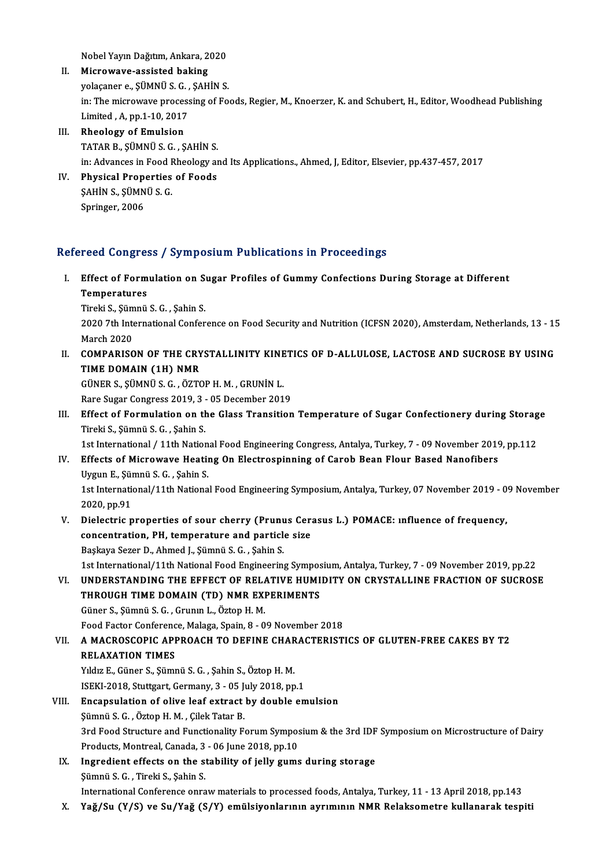NobelYayınDağıtım,Ankara,2020

- II. Microwave-assisted baking Nobel Yayın Dağıtım, Ankara, 2020<br>Microwave-assisted baking<br>yolaçaner e., ŞÜMNÜ S. G. , ŞAHİN S.<br>in: The microwaye presessing of Fo in: The microwave processing of Foods, Regier, M., Knoerzer, K. and Schubert, H., Editor, Woodhead Publishing<br>Limited , A, pp.1-10, 2017 yolaçaner e., ŞÜMNÜ S. G. ,<br>in: The microwave process<br>Limited , A, pp.1-10, 2017<br>Pheology of Emulsion
- III. Rheology of Emulsion TATARB.,ŞÜMNÜS.G. ,ŞAHİNS. in: Advances in Food Rheology and Its Applications., Ahmed, J, Editor, Elsevier, pp.437-457, 2017
- IV. Physical Properties of Foods in: Advances in Food I<br>Physical Properties<br>ŞAHİN S., ŞÜMNÜ S. G.<br>Saringer, 2006 Physical Prop<br>ŞAHİN S., ŞÜMN<br>Springer, 2006

# Springer, 2006<br>Refereed Congress / Symposium Publications in Proceedings

efereed Congress / Symposium Publications in Proceedings<br>I. Effect of Formulation on Sugar Profiles of Gummy Confections During Storage at Different<br>Temperatures reed congret<br>Effect of Form<br>Temperatures<br>Tinobi S. Sümnü Effect of Formulation on S<br>Temperatures<br>Tireki S., Şümnü S. G. , Şahin S.<br>2020 7th International Corfor

Temperatures<br>Tireki S., Șümnü S. G. , Șahin S.<br>2020 7th International Conference on Food Security and Nutrition (ICFSN 2020), Amsterdam, Netherlands, 13 - 15<br>March 2020 Tireki S., Şüm<br>2020 7th Inte<br>March 2020<br>COMPARISO

II. COMPARISON OF THE CRYSTALLINITY KINETICS OF D-ALLULOSE, LACTOSE AND SUCROSE BY USING TIME DOMAIN (1H) NMR

GÜNERS.,ŞÜMNÜS.G. ,ÖZTOPH.M. ,GRUNİNL. Rare Sugar Congress 2019, 3 - 05 December 2019

GÜNER S., ŞÜMNÜ S. G. , ÖZTOP H. M. , GRUNİN L.<br>Rare Sugar Congress 2019, 3 - 05 December 2019<br>III. Effect of Formulation on the Glass Transition Temperature of Sugar Confectionery during Storage<br>Tipoli S. Sümnü S. G. Sobi Rare Sugar Congress 2019, 3<br>Effect of Formulation on the<br>Tireki S., Şümnü S. G. , Şahin S.<br>1st International / 11th Nation Effect of Formulation on the Glass Transition Temperature of Sugar Confectionery during Storag<br>Tireki S., Şümnü S. G. , Şahin S.<br>1st International / 11th National Food Engineering Congress, Antalya, Turkey, 7 - 09 November

Tireki S., Şümnü S. G. , Şahin S.<br>1st International / 11th National Food Engineering Congress, Antalya, Turkey, 7 - 09 November 2019<br>IV. Effects of Microwave Heating On Electrospinning of Carob Bean Flour Based Nanofibers<br> 1st International / 11th Nation<br>Effects of Microwave Heatin<br>Uygun E., Şümnü S. G. , Şahin S.<br>1st International (11th Nationa Effects of Microwave Heating On Electrospinning of Carob Bean Flour Based Nanofibers<br>Uygun E., Şümnü S. G. , Şahin S.<br>1st International/11th National Food Engineering Symposium, Antalya, Turkey, 07 November 2019 - 09 Novem Uygun E., Şür<br>1st Internatio<br>2020, pp.91<br>Dielectric r 1st International/11th National Food Engineering Symposium, Antalya, Turkey, 07 November 2019 - 0<br>2020, pp.91<br>V. Dielectric properties of sour cherry (Prunus Cerasus L.) POMACE: influence of frequency,<br>2020.pp.91

## 2020, pp.91<br>Dielectric properties of sour cherry (Prunus Cera<br>concentration, PH, temperature and particle size Dielectric properties of sour cherry (Prunu<br>concentration, PH, temperature and particl<br>Başkaya Sezer D., Ahmed J., Şümnü S. G. , Şahin S.<br>1st International (11th National Eood Engineerin concentration, PH, temperature and particle size<br>1st International/11th National Food Engineering Symposium, Antalya, Turkey, 7 - 09 November 2019, pp.22<br>1st International/11th National Food Engineering Symposium, Antalya,

## Başkaya Sezer D., Ahmed J., Şümnü S. G. , Şahin S.<br>1st International/11th National Food Engineering Symposium, Antalya, Turkey, 7 - 09 November 2019, pp.22<br>VI. UNDERSTANDING THE EFFECT OF RELATIVE HUMIDITY ON CRYSTALLI 1st International/11th National Food Engineering Sympos<br>UNDERSTANDING THE EFFECT OF RELATIVE HUMI<br>THROUGH TIME DOMAIN (TD) NMR EXPERIMENTS UNDERSTANDING THE EFFECT OF RELA<br>THROUGH TIME DOMAIN (TD) NMR EXI<br>Güner S., Şümnü S. G. , Grunın L., Öztop H. M.<br>Food Fastor Conferense Malage Spain 8 - 9 THROUGH TIME DOMAIN (TD) NMR EXPERIMENTS<br>Güner S., Şümnü S. G. , Grunın L., Öztop H. M.<br>Food Factor Conference, Malaga, Spain, 8 - 09 November 2018<br>A MACBOSCOBIC ABBBOACH TO DEEINE CHABACTEBIST.

## Güner S., Şümnü S. G. , Grunın L., Öztop H. M.<br>Food Factor Conference, Malaga, Spain, 8 - 09 November 2018<br>VII. – A MACROSCOPIC APPROACH TO DEFINE CHARACTERISTICS OF GLUTEN-FREE CAKES BY T2<br>PELAYATION TIMES Food Factor Conference<br>A MACROSCOPIC API<br>RELAXATION TIMES<br>Vidus E Cüner S. Süme A MACROSCOPIC APPROACH TO DEFINE CHAR<br>RELAXATION TIMES<br>Yıldız E., Güner S., Şümnü S. G. , Şahin S., Öztop H. M.<br>ISEKI 2018. Stuttgart Cormony 2., OE July 2018. an

RELAXATION TIMES<br>Indiz E., Güner S., Şümnü S. G. , Şahin S., Öztop H. M.<br>ISEKI-2018, Stuttgart, Germany, 3 - 05 July 2018, pp.1

### VIII. Encapsulation of olive leaf extract by double emulsion Şümnü S.G. ,ÖztopH.M. ,ÇilekTatarB.

Encapsulation of olive leaf extract by double emulsion<br>Şümnü S. G. , Öztop H. M. , Çilek Tatar B.<br>3rd Food Structure and Functionality Forum Symposium & the 3rd IDF Symposium on Microstructure of Dairy<br>Produsta Mantreal Ca Sümnü S. G. , Öztop H. M. , Çilek Tatar B.<br>3rd Food Structure and Functionality Forum Sympos<br>Products, Montreal, Canada, 3 - 06 June 2018, pp.10<br>Ingredient offects on the stability of jolly gume Products, Montreal, Canada, 3 - 06 June 2018, pp.10

IX. Ingredient effects on the stability of jelly gums during storage Sümnü S. G., Tireki S., Sahin S.

InternationalConference onrawmaterials to processed foods,Antalya,Turkey,11 -13April2018,pp.143

X. Yağ/Su (Y/S) ve Su/Yağ (S/Y) emülsiyonlarının ayrımının NMR Relaksometre kullanarak tespiti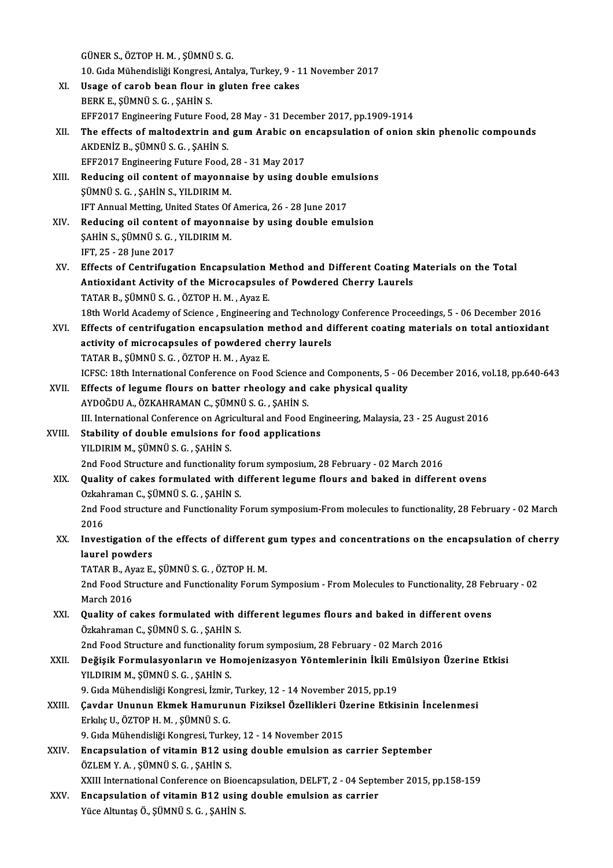|        | GÜNER S., ÖZTOP H. M., ŞÜMNÜ S. G.                                                                                                                    |
|--------|-------------------------------------------------------------------------------------------------------------------------------------------------------|
|        | 10. Gıda Mühendisliği Kongresi, Antalya, Turkey, 9 - 11 November 2017                                                                                 |
| XI.    | Usage of carob bean flour in gluten free cakes                                                                                                        |
|        | BERK E., ŞÜMNÜ S. G., ŞAHİN S.                                                                                                                        |
|        | EFF2017 Engineering Future Food, 28 May - 31 December 2017, pp.1909-1914                                                                              |
| XII.   | The effects of maltodextrin and gum Arabic on encapsulation of onion skin phenolic compounds                                                          |
|        | AKDENİZ B., ŞÜMNÜ S. G., ŞAHİN S.                                                                                                                     |
|        | EFF2017 Engineering Future Food, 28 - 31 May 2017                                                                                                     |
| XIII.  | Reducing oil content of mayonnaise by using double emulsions                                                                                          |
|        | ŞÜMNÜ S. G., ŞAHİN S., YILDIRIM M.                                                                                                                    |
|        | IFT Annual Metting, United States Of America, 26 - 28 June 2017                                                                                       |
| XIV.   | Reducing oil content of mayonnaise by using double emulsion                                                                                           |
|        | ŞAHİN S., ŞÜMNÜ S. G., YILDIRIM M.                                                                                                                    |
|        | IFT, 25 - 28 June 2017                                                                                                                                |
| XV.    | Effects of Centrifugation Encapsulation Method and Different Coating Materials on the Total                                                           |
|        | Antioxidant Activity of the Microcapsules of Powdered Cherry Laurels                                                                                  |
|        | TATAR B., ŞÜMNÜ S. G., ÖZTOP H. M., Ayaz E.<br>18th World Academy of Science, Engineering and Technology Conference Proceedings, 5 - 06 December 2016 |
| XVI.   | Effects of centrifugation encapsulation method and different coating materials on total antioxidant                                                   |
|        | activity of microcapsules of powdered cherry laurels                                                                                                  |
|        | TATAR B., ŞÜMNÜ S. G., ÖZTOP H. M., Ayaz E.                                                                                                           |
|        | ICFSC: 18th International Conference on Food Science and Components, 5 - 06 December 2016, vol.18, pp.640-643                                         |
| XVII.  | Effects of legume flours on batter rheology and cake physical quality                                                                                 |
|        | AYDOĞDU A., ÖZKAHRAMAN C., ŞÜMNÜ S. G., ŞAHİN S.                                                                                                      |
|        | III. International Conference on Agricultural and Food Engineering, Malaysia, 23 - 25 August 2016                                                     |
| XVIII. | Stability of double emulsions for food applications                                                                                                   |
|        | YILDIRIM M., ŞÜMNÜ S. G., ŞAHİN S.                                                                                                                    |
|        | 2nd Food Structure and functionality forum symposium, 28 February - 02 March 2016                                                                     |
| XIX.   | Quality of cakes formulated with different legume flours and baked in different ovens                                                                 |
|        | Ozkahraman C., ŞÜMNÜ S. G., ŞAHİN S.                                                                                                                  |
|        | 2nd Food structure and Functionality Forum symposium-From molecules to functionality, 28 February - 02 March                                          |
| XX.    | 2016<br>Investigation of the effects of different gum types and concentrations on the encapsulation of cherry                                         |
|        | laurel powders                                                                                                                                        |
|        | TATAR B., Ayaz E., ŞÜMNÜ S. G., ÖZTOP H. M.                                                                                                           |
|        | 2nd Food Structure and Functionality Forum Symposium - From Molecules to Functionality, 28 February - 02                                              |
|        | <b>March 2016</b>                                                                                                                                     |
| XXI.   | Quality of cakes formulated with different legumes flours and baked in different ovens                                                                |
|        | Özkahraman C., ŞÜMNÜ S. G., ŞAHİN S.                                                                                                                  |
|        | 2nd Food Structure and functionality forum symposium, 28 February - 02 March 2016                                                                     |
| XXII.  | Değişik Formulasyonların ve Homojenizasyon Yöntemlerinin İkili Emülsiyon Üzerine Etkisi                                                               |
|        | YILDIRIM M., ŞÜMNÜ S. G., ŞAHİN S.                                                                                                                    |
|        | 9. Gıda Mühendisliği Kongresi, İzmir, Turkey, 12 - 14 November 2015, pp.19                                                                            |
| XXIII. | Çavdar Ununun Ekmek Hamurunun Fiziksel Özellikleri Üzerine Etkisinin İncelenmesi                                                                      |
|        | Erkiliç U., ÖZTOP H. M., ŞÜMNÜ S. G.                                                                                                                  |
|        | 9. Gıda Mühendisliği Kongresi, Turkey, 12 - 14 November 2015                                                                                          |
| XXIV.  | Encapsulation of vitamin B12 using double emulsion as carrier September<br>ÖZLEM Y.A., ŞÜMNÜ S.G., ŞAHİN S.                                           |
|        | XXIII International Conference on Bioencapsulation, DELFT, 2 - 04 September 2015, pp.158-159                                                          |
| XXV.   | Encapsulation of vitamin B12 using double emulsion as carrier                                                                                         |
|        | Yüce Altuntaş Ö., ŞÜMNÜ S. G., ŞAHİN S.                                                                                                               |
|        |                                                                                                                                                       |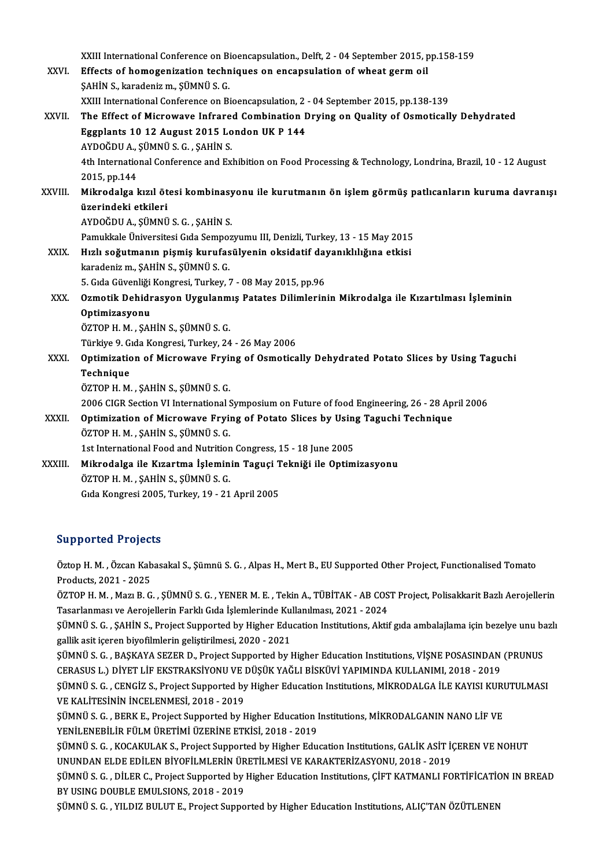XXIII International Conference on Bioencapsulation., Delft, 2 - 04 September 2015, pp.158-159<br>Effects of homogenization techniques on enconculation of wheat serm oil

|               | XXIII International Conference on Bioencapsulation., Delft, 2 - 04 September 2015, pp.158-159                 |
|---------------|---------------------------------------------------------------------------------------------------------------|
| XXVI.         | Effects of homogenization techniques on encapsulation of wheat germ oil                                       |
|               | ŞAHİN S., karadeniz m., ŞÜMNÜ S. G.                                                                           |
|               | XXIII International Conference on Bioencapsulation, 2 - 04 September 2015, pp.138-139                         |
| XXVII.        | The Effect of Microwave Infrared Combination Drying on Quality of Osmotically Dehydrated                      |
|               | Eggplants 10 12 August 2015 London UK P 144                                                                   |
|               | AYDOĞDU A., ŞÜMNÜ S. G., ŞAHİN S.                                                                             |
|               | 4th International Conference and Exhibition on Food Processing & Technology, Londrina, Brazil, 10 - 12 August |
|               | 2015, pp.144                                                                                                  |
| XXVIII.       | Mikrodalga kızıl ötesi kombinasyonu ile kurutmanın ön işlem görmüş patlıcanların kuruma davranışı             |
|               | üzerindeki etkileri                                                                                           |
|               | AYDOĞDU A., ŞÜMNÜ S. G., ŞAHİN S.                                                                             |
|               | Pamukkale Üniversitesi Gıda Sempozyumu III, Denizli, Turkey, 13 - 15 May 2015                                 |
| XXIX.         | Hızlı soğutmanın pişmiş kurufasülyenin oksidatif dayanıklılığına etkisi                                       |
|               | karadeniz m., ŞAHİN S., ŞÜMNÜ S. G.                                                                           |
|               | 5. Gıda Güvenliği Kongresi, Turkey, 7 - 08 May 2015, pp.96                                                    |
| XXX.          | Ozmotik Dehidrasyon Uygulanmış Patates Dilimlerinin Mikrodalga ile Kızartılması İşleminin                     |
|               | Optimizasyonu                                                                                                 |
|               | ÖZTOP H. M., ŞAHİN S., ŞÜMNÜ S. G.                                                                            |
|               | Türkiye 9. Gıda Kongresi, Turkey, 24 - 26 May 2006                                                            |
| XXXI.         | Optimization of Microwave Frying of Osmotically Dehydrated Potato Slices by Using Taguchi                     |
|               | Technique                                                                                                     |
|               | ÖZTOP H. M., ŞAHİN S., ŞÜMNÜ S. G.                                                                            |
|               | 2006 CIGR Section VI International Symposium on Future of food Engineering, 26 - 28 April 2006                |
| <b>XXXII.</b> | Optimization of Microwave Frying of Potato Slices by Using Taguchi Technique                                  |
|               | ÖZTOP H. M., ŞAHİN S., ŞÜMNÜ S. G.                                                                            |
|               | 1st International Food and Nutrition Congress, 15 - 18 June 2005                                              |
| XXXIII        | Mikrodalga ile Kızartma İşleminin Taguçi Tekniği ile Optimizasyonu                                            |
|               | ÖZTOP H. M., ŞAHİN S., ŞÜMNÜ S. G.                                                                            |
|               | Gida Kongresi 2005, Turkey, 19 - 21 April 2005                                                                |
|               |                                                                                                               |

### Supported Projects

Supported Projects<br>Öztop H. M. , Özcan Kabasakal S., Şümnü S. G. , Alpas H., Mert B., EU Supported Other Project, Functionalised Tomato Products, 2021 - 2025<br>Öztop H. M. , Özcan Kab<br>Products, 2021 - 2025<br>ÖZTOP H. M. Mari B. G Öztop H. M. , Özcan Kabasakal S., Şümnü S. G. , Alpas H., Mert B., EU Supported Other Project, Functionalised Tomato<br>Products, 2021 - 2025<br>ÖZTOP H. M. , Mazı B. G. , ŞÜMNÜ S. G. , YENER M. E. , Tekin A., TÜBİTAK - AB COST

Products, 2021 - 2025<br>ÖZTOP H. M. , Mazı B. G. , ŞÜMNÜ S. G. , YENER M. E. , Tekin A., TÜBİTAK - AB COST Project, Polisakkarit Bazlı Aerojellerin<br>Tasarlanması ve Aerojellerin Farklı Gıda İşlemlerinde Kullanılması, 2021 - 2 ÖZTOP H. M. , Mazı B. G. , ŞÜMNÜ S. G. , YENER M. E. , Tekin A., TÜBİTAK - AB COST Project, Polisakkarit Bazlı Aerojellerin<br>Tasarlanması ve Aerojellerin Farklı Gıda İşlemlerinde Kullanılması, 2021 - 2024<br>ŞÜMNÜ S. G. , ŞAHİ

Tasarlanması ve Aerojellerin Farklı Gıda İşlemlerinde Ku:<br>ŞÜMNÜ S. G. , ŞAHİN S., Project Supported by Higher Edu<br>gallik asit içeren biyofilmlerin geliştirilmesi, 2020 - 2021<br>SÜMNÜ S. G., BASKANA SEZER D., Project Supporte ŞÜMNÜ S. G. , ŞAHİN S., Project Supported by Higher Education Institutions, Aktif gıda ambalajlama için bezelye unu ba<br>gallik asit içeren biyofilmlerin geliştirilmesi, 2020 - 2021<br>ŞÜMNÜ S. G. , BAŞKAYA SEZER D., Project Su

gallik asit içeren biyofilmlerin geliştirilmesi, 2020 - 2021<br>ŞÜMNÜ S. G. , BAŞKAYA SEZER D., Project Supported by Higher Education Institutions, VİŞNE POSASINDAN<br>CERASUS L.) DİYET LİF EKSTRAKSİYONU VE DÜŞÜK YAĞLI BİSKÜVİ Y ŞÜMNÜ S. G. , BAŞKAYA SEZER D., Project Supported by Higher Education Institutions, VİŞNE POSASINDAN (PRUNUS<br>CERASUS L.) DİYET LİF EKSTRAKSİYONU VE DÜŞÜK YAĞLI BİSKÜVİ YAPIMINDA KULLANIMI, 2018 - 2019<br>ŞÜMNÜ S. G. , CENGİZ

CERASUS L.) DİYET LİF EKSTRAKSİYONU VE I<br>ŞÜMNÜ S. G. , CENGİZ S., Project Supported by<br>VE KALİTESİNİN İNCELENMESİ, 2018 - 2019<br>SÜMNÜ S. C., PERK E. Project Supported bu k ŞÜMNÜ S. G. , CENGİZ S., Project Supported by Higher Education Institutions, MİKRODALGA İLE KAYISI KURI<br>VE KALİTESİNİN İNCELENMESİ, 2018 - 2019<br>ŞÜMNÜ S. G. , BERK E., Project Supported by Higher Education Institutions, MİK

VE KALİTESİNİN İNCELENMESİ, 2018 - 2019<br>ŞÜMNÜ S. G. , BERK E., Project Supported by Higher Education I<br>YENİLENEBİLİR FÜLM ÜRETİMİ ÜZERİNE ETKİSİ, 2018 - 2019<br>SÜMNÜ S. G., *VOCAVULAV S. Project Supported by His*bor Edu ŞÜMNÜ S. G. , BERK E., Project Supported by Higher Education Institutions, MİKRODALGANIN NANO LİF VE<br>YENİLENEBİLİR FÜLM ÜRETİMİ ÜZERİNE ETKİSİ, 2018 - 2019<br>ŞÜMNÜ S. G. , KOCAKULAK S., Project Supported by Higher Education

YENİLENEBİLİR FÜLM ÜRETİMİ ÜZERİNE ETKİSİ, 2018 - 2019<br>ŞÜMNÜ S. G. , KOCAKULAK S., Project Supported by Higher Education Institutions, GALİK ASİT İQ<br>UNUNDAN ELDE EDİLEN BİYOFİLMLERİN ÜRETİLMESİ VE KARAKTERİZASYONU, 2018 - ŞÜMNÜ S. G. , KOCAKULAK S., Project Supported by Higher Education Institutions, GALİK ASİT İÇEREN VE NOHUT<br>UNUNDAN ELDE EDİLEN BİYOFİLMLERİN ÜRETİLMESİ VE KARAKTERİZASYONU, 2018 - 2019<br>ŞÜMNÜ S. G. , DİLER C., Project Suppo

UNUNDAN ELDE EDİLEN BİYOFİLMLERİN ÜR<br>ŞÜMNÜ S. G. , DİLER C., Project Supported by<br>BY USING DOUBLE EMULSIONS, 2018 - 2019<br>SÜMNÜ S. G., VILDIZ BIJLIT E. Project Suppo ŞÜMNÜ S. G. , DİLER C., Project Supported by Higher Education Institutions, ÇİFT KATMANLI FORTİFİCATİC<br>BY USING DOUBLE EMULSIONS, 2018 - 2019<br>ŞÜMNÜ S. G. , YILDIZ BULUT E., Project Supported by Higher Education Institution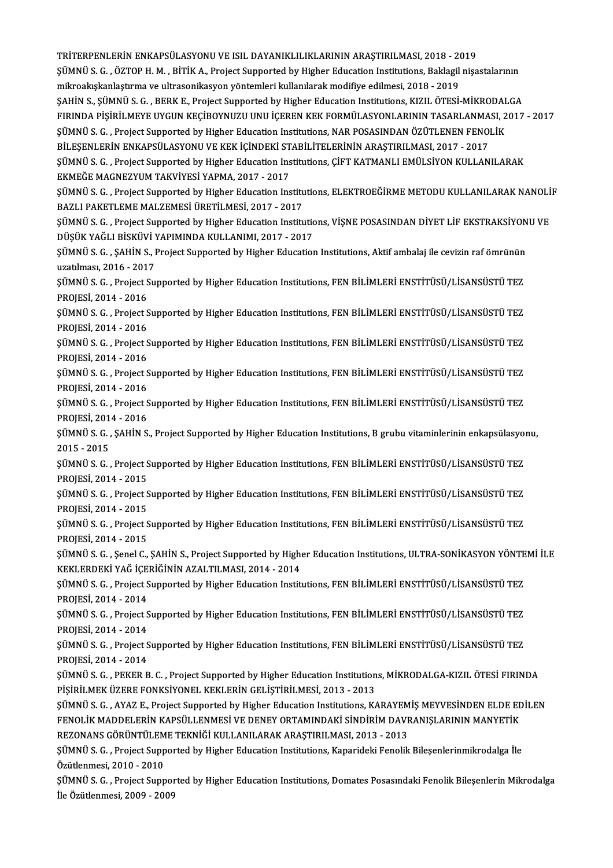TRİTERPENLERİNENKAPSÜLASYONUVEISILDAYANIKLILIKLARININARAŞTIRILMASI,2018 -2019 TRİTERPENLERİN ENKAPSÜLASYONU VE ISIL DAYANIKLILIKLARININ ARAŞTIRILMASI, 2018 - 2019<br>ŞÜMNÜ S. G. , ÖZTOP H. M. , BİTİK A., Project Supported by Higher Education Institutions, Baklagil nişastalarının<br>milmealaskanlastuma ve TRİTERPENLERİN ENKAPSÜLASYONU VE ISIL DAYANIKLILIKLARININ ARAŞTIRILMASI, 2018 - 20<br>ŞÜMNÜ S. G. , ÖZTOP H. M. , BİTİK A., Project Supported by Higher Education Institutions, Baklagil<br>mikroakışkanlaştırma ve ultrasonikasyon ŞÜMNÜ S. G. , ÖZTOP H. M. , BİTİK A., Project Supported by Higher Education Institutions, Baklagil nişastalarının<br>mikroakışkanlaştırma ve ultrasonikasyon yöntemleri kullanılarak modifiye edilmesi, 2018 - 2019<br>ŞAHİN S., ŞÜM mikroakışkanlaştırma ve ultrasonikasyon yöntemleri kullanılarak modifiye edilmesi, 2018 - 2019<br>ŞAHİN S., ŞÜMNÜ S. G. , BERK E., Project Supported by Higher Education Institutions, KIZIL ÖTESİ-MİKRODALGA<br>FIRINDA PİŞİRİLMEYE ŞAHİN S., ŞÜMNÜ S. G. , BERK E., Project Supported by Higher Education Institutions, KIZIL ÖTESİ-MİKRODAL<br>FIRINDA PİŞİRİLMEYE UYGUN KEÇİBOYNUZU UNU İÇEREN KEK FORMÜLASYONLARININ TASARLANMASI, 2<br>ŞÜMNÜ S. G. , Project Suppor FIRINDA PİŞİRİLMEYE UYGUN KEÇİBOYNUZU UNU İÇEREN KEK FORMÜLASYONLARININ TASARLANMA<br>ŞÜMNÜ S. G. , Project Supported by Higher Education Institutions, NAR POSASINDAN ÖZÜTLENEN FENO!<br>BİLEŞENLERİN ENKAPSÜLASYONU VE KEK İÇİNDEK ŞÜMNÜ S. G. , Project Supported by Higher Education Institutions, NAR POSASINDAN ÖZÜTLENEN FENOLİK<br>BİLEŞENLERİN ENKAPSÜLASYONU VE KEK İÇİNDEKİ STABİLİTELERİNIN ARAŞTIRILMASI, 2017 - 2017<br>ŞÜMNÜ S. G. , Project Supported by BİLEŞENLERİN ENKAPSÜLASYONU VE KEK İÇİNDEKİ STABİLİTELERİNİN ARAŞTIRILMASI, 2017 - 2017 ŞÜMNÜ S. G. , Project Supported by Higher Education Institutions, ÇİFT KATMANLI EMÜLSİYON KULLANILARAK<br>EKMEĞE MAGNEZYUM TAKVİYESİ YAPMA, 2017 - 2017<br>ŞÜMNÜ S. G. , Project Supported by Higher Education Institutions, ELEKTRO EKMEĞE MAGNEZYUM TAKVİYESİ YAPMA, 2017 - 2017<br>ŞÜMNÜ S. G. , Project Supported by Higher Education Institu<br>BAZLI PAKETLEME MALZEMESİ ÜRETİLMESİ, 2017 - 2017<br>SÜMNÜ S. G. , Project Supported bu Higher Education Institu ŞÜMNÜ S. G. , Project Supported by Higher Education Institutions, ELEKTROEĞİRME METODU KULLANILARAK NANOLİ<br>BAZLI PAKETLEME MALZEMESİ ÜRETİLMESİ, 2017 - 2017<br>ŞÜMNÜ S. G. , Project Supported by Higher Education Institutions, BAZLI PAKETLEME MALZEMESİ ÜRETİLMESİ, 2017 - 2017<br>ŞÜMNÜ S. G. , Project Supported by Higher Education Institutions, VİŞNE POSASINDAN DİYET LİF EKSTRAKSİYONU VE<br>DÜŞÜK YAĞLI BİSKÜVİ YAPIMINDA KULLANIMI, 2017 - 2017 ŞÜMNÜ S. G. , Project Supported by Higher Education Institutions, VİŞNE POSASINDAN DİYET LİF EKSTRAKSİYON<br>DÜŞÜK YAĞLI BİSKÜVİ YAPIMINDA KULLANIMI, 2017 - 2017<br>ŞÜMNÜ S. G. , ŞAHİN S., Project Supported by Higher Education I DÜŞÜK YAĞLI BİSKÜVİ Y<br>ŞÜMNÜ S. G. , ŞAHİN S., I<br>uzatılması, 2016 - 2017<br>SÜMNÜ S. G. , Preject Su ŞÜMNÜ S. G. , ŞAHİN S., Project Supported by Higher Education Institutions, Aktif ambalaj ile cevizin raf ömrünün<br>uzatılması, 2016 - 2017<br>ŞÜMNÜ S. G. , Project Supported by Higher Education Institutions, FEN BİLİMLERİ ENST uzatılması, 2016 - 201<br>ŞÜMNÜ S. G. , Project S<br>PROJESİ, 2014 - 2016<br>SÜMNÜ S. G. , Project S ŞÜMNÜ S. G. , Project Supported by Higher Education Institutions, FEN BİLİMLERİ ENSTİTÜSÜ/LİSANSÜSTÜ TEZ<br>PROJESİ, 2014 - 2016<br>ŞÜMNÜ S. G. , Project Supported by Higher Education Institutions, FEN BİLİMLERİ ENSTİTÜSÜ/LİSANS PROJESİ, 2014 - 2016<br>ŞÜMNÜ S. G. , Project Supported by Higher Education Institutions, FEN BİLİMLERİ ENSTİTÜSÜ/LİSANSÜSTÜ TEZ<br>PROJESİ, 2014 - 2016 ŞÜMNÜ S. G., Project Supported by Higher Education Institutions, FEN BİLİMLERİ ENSTİTÜSÜ/LİSANSÜSTÜ TEZ PROJESİ, 2014 - 2016<br>ŞÜMNÜ S. G. , Project S<br>PROJESİ, 2014 - 2016<br>SÜMNÜ S. G. Project S ŞÜMNÜ S. G. , Project Supported by Higher Education Institutions, FEN BİLİMLERİ ENSTİTÜSÜ/LİSANSÜSTÜ TEZ<br>PROJESİ, 2014 - 2016<br>ŞÜMNÜ S. G. , Project Supported by Higher Education Institutions, FEN BİLİMLERİ ENSTİTÜSÜ/LİSANS PROJESİ, 2014 - 2016<br>ŞÜMNÜ S. G. , Project S<br>PROJESİ, 2014 - 2016<br>SÜMNÜ S. G. Project S ŞÜMNÜ S. G. , Project Supported by Higher Education Institutions, FEN BİLİMLERİ ENSTİTÜSÜ/LİSANSÜSTÜ TEZ<br>PROJESİ, 2014 - 2016<br>ŞÜMNÜ S. G. , Project Supported by Higher Education Institutions, FEN BİLİMLERİ ENSTİTÜSÜ/LİSANS PROJESİ, 2014 - 2016<br>ŞÜMNÜ S. G. , Project S<br>PROJESİ, 2014 - 2016<br>SÜMNÜ S. G. SAHİN S ŞÜMNÜ S. G. , Project Supported by Higher Education Institutions, FEN BİLİMLERİ ENSTİTÜSÜ/LİSANSÜSTÜ TEZ<br>PROJESİ, 2014 - 2016<br>ŞÜMNÜ S. G. , ŞAHİN S., Project Supported by Higher Education Institutions, B grubu vitaminlerin PROJESİ, 2014 - 2016<br>ŞÜMNÜ S. G. , ŞAHİN S., Project Supported by Higher Education Institutions, B grubu vitaminlerinin enkapsülasyonu,<br>2015 - 2015 ŞÜMNÜ S. G. , ŞAHİN S., Project Supported by Higher Education Institutions, B grubu vitaminlerinin enkapsülasyo<br>2015 - 2015<br>ŞÜMNÜ S. G. , Project Supported by Higher Education Institutions, FEN BİLİMLERİ ENSTİTÜSÜ/LİSANSÜS 2015 - 2015<br>ŞÜMNÜ S. G. , Project S<br>PROJESİ, 2014 - 2015<br>SÜMNÜ S. G. , Project S ŞÜMNÜ S. G. , Project Supported by Higher Education Institutions, FEN BİLİMLERİ ENSTİTÜSÜ/LİSANSÜSTÜ TEZ<br>PROJESİ, 2014 - 2015<br>ŞÜMNÜ S. G. , Project Supported by Higher Education Institutions, FEN BİLİMLERİ ENSTİTÜSÜ/LİSANS PROJESİ, 2014 - 2015<br>ŞÜMNÜ S. G. , Project Supported by Higher Education Institutions, FEN BİLİMLERİ ENSTİTÜSÜ/LİSANSÜSTÜ TEZ<br>PROJESİ, 2014 - 2015 ŞÜMNÜ S. G. , Project Supported by Higher Education Institutions, FEN BİLİMLERİ ENSTİTÜSÜ/LİSANSÜSTÜ TEZ<br>PROJESİ, 2014 - 2015<br>ŞÜMNÜ S. G. , Project Supported by Higher Education Institutions, FEN BİLİMLERİ ENSTİTÜSÜ/LİSANS PROJESİ, 2014 - 2015<br>ŞÜMNÜ S. G. , Project S<br>PROJESİ, 2014 - 2015<br>SÜMNÜ S. G. Sanal G ŞÜMNÜ S. G. , Project Supported by Higher Education Institutions, FEN BİLİMLERİ ENSTİTÜSÜ/LİSANSÜSTÜ TEZ<br>PROJESİ, 2014 - 2015<br>ŞÜMNÜ S. G. , Şenel C., ŞAHİN S., Project Supported by Higher Education Institutions, ULTRA-SONİ PROJESİ, 2014 - 2015<br>ŞÜMNÜ S. G. , Şenel C., ŞAHİN S., Project Supported by High<br>KEKLERDEKİ YAĞ İÇERİĞİNİN AZALTILMASI, 2014 - 2014<br>SÜMNÜ S. G., Project Supported by Hiskor Education Instit ŞÜMNÜ S. G. , Şenel C., ŞAHİN S., Project Supported by Higher Education Institutions, ULTRA-SONİKASYON YÖNTE<br>KEKLERDEKİ YAĞ İÇERİĞİNİN AZALTILMASI, 2014 - 2014<br>ŞÜMNÜ S. G. , Project Supported by Higher Education Institutio KEKLERDEKİ YAĞ İÇERİĞİNİN AZALTILMASI, 2014 - 2014<br>ŞÜMNÜ S. G. , Project Supported by Higher Education Institutions, FEN BİLİMLERİ ENSTİTÜSÜ/LİSANSÜSTÜ TEZ<br>PROJESİ, 2014 - 2014 ŞÜMNÜ S. G. , Project Supported by Higher Education Institutions, FEN BİLİMLERİ ENSTİTÜSÜ/LİSANSÜSTÜ TEZ<br>PROJESİ, 2014 - 2014<br>ŞÜMNÜ S. G. , Project Supported by Higher Education Institutions, FEN BİLİMLERİ ENSTİTÜSÜ/LİSANS PROJESİ, 2014 - 2014<br>ŞÜMNÜ S. G. , Project S<br>PROJESİ, 2014 - 2014<br>SÜMNÜ S. G. Project S ŞÜMNÜ S. G. , Project Supported by Higher Education Institutions, FEN BİLİMLERİ ENSTİTÜSÜ/LİSANSÜSTÜ TEZ<br>PROJESİ, 2014 - 2014<br>ŞÜMNÜ S. G. , Project Supported by Higher Education Institutions, FEN BİLİMLERİ ENSTİTÜSÜ/LİSANS PROJESİ, 2014 - 2014<br>ŞÜMNÜ S. G. , Project Supported by Higher Education Institutions, FEN BİLİMLERİ ENSTİTÜSÜ/LİSANSÜSTÜ TEZ<br>PROJESİ, 2014 - 2014 ŞÜMNÜ S. G. , Project Supported by Higher Education Institutions, FEN BİLİMLERİ ENSTİTÜSÜ/LİSANSÜSTÜ TEZ<br>PROJESİ, 2014 - 2014<br>ŞÜMNÜ S. G. , PEKER B. C. , Project Supported by Higher Education Institutions, MİKRODALGA-KIZIL PROJESİ, 2014 - 2014<br>ŞÜMNÜ S. G. , PEKER B. C. , Project Supported by Higher Education Institution<br>PİŞİRİLMEK ÜZERE FONKSİYONEL KEKLERİN GELİŞTİRİLMESİ, 2013 - 2013<br>SÜMNÜ S. G. , AYAZ E. Project Supported by Higher Educati ŞÜMNÜ S. G. , PEKER B. C. , Project Supported by Higher Education Institutions, MİKRODALGA-KIZIL ÖTESİ FIRINDA<br>PİŞİRİLMEK ÜZERE FONKSİYONEL KEKLERİN GELİŞTİRİLMESİ, 2013 - 2013<br>ŞÜMNÜ S. G. , AYAZ E., Project Supported by H PİŞİRİLMEK ÜZERE FONKSİYONEL KEKLERİN GELİŞTİRİLMESİ, 2013 - 2013<br>ŞÜMNÜ S. G. , AYAZ E., Project Supported by Higher Education Institutions, KARAYEMİŞ MEYVESİNDEN ELDE EL<br>FENOLİK MADDELERİN KAPSÜLLENMESİ VE DENEY ORTAMINDA ŞÜMNÜ S. G. , AYAZ E., Project Supported by Higher Education Institutions, KARAYEM<br>FENOLİK MADDELERİN KAPSÜLLENMESİ VE DENEY ORTAMINDAKİ SİNDİRİM DAVF<br>REZONANS GÖRÜNTÜLEME TEKNİĞİ KULLANILARAK ARAŞTIRILMASI, 2013 - 2013<br>SÜ FENOLİK MADDELERİN KAPSÜLLENMESİ VE DENEY ORTAMINDAKİ SİNDİRİM DAVRANIŞLARININ MANYETİK<br>REZONANS GÖRÜNTÜLEME TEKNİĞİ KULLANILARAK ARAŞTIRILMASI, 2013 - 2013<br>ŞÜMNÜ S. G. , Project Supported by Higher Education Institutions, REZONANS GÖRÜNTÜLEME TEKNİĞİ KULLANILARAK ARAŞTIRILMASI, 2013 - 2013<br>ŞÜMNÜ S. G. , Project Supported by Higher Education Institutions, Kaparideki Fenolik Bileşenlerinmikrodalga İle<br>Özütlenmesi, 2010 - 2010<br>ŞÜMNÜ S. G. , Pr ŞÜMNÜ S. G. , Project Supported by Higher Education Institutions, Kaparideki Fenolik Bileşenlerinmikrodalga İle<br>Özütlenmesi, 2010 - 2010<br>ŞÜMNÜ S. G. , Project Supported by Higher Education Institutions, Domates Posasındaki İleÖzütlenmesi,2009 -2009